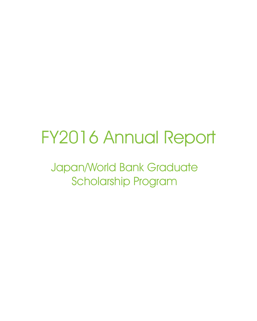# FY2016 Annual Report

Japan/World Bank Graduate Scholarship Program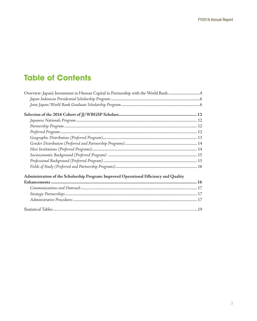# **Table of Contents**

| Overview: Japan's Investment in Human Capital in Partnership with the World Bank       |  |
|----------------------------------------------------------------------------------------|--|
|                                                                                        |  |
|                                                                                        |  |
|                                                                                        |  |
|                                                                                        |  |
|                                                                                        |  |
|                                                                                        |  |
|                                                                                        |  |
|                                                                                        |  |
|                                                                                        |  |
|                                                                                        |  |
|                                                                                        |  |
|                                                                                        |  |
| Administration of the Scholarship Program: Improved Operational Efficiency and Quality |  |
|                                                                                        |  |
|                                                                                        |  |
|                                                                                        |  |
|                                                                                        |  |
|                                                                                        |  |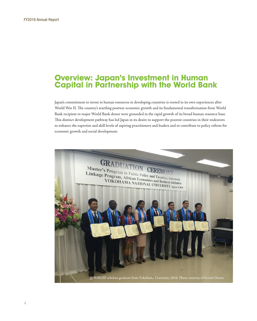# <span id="page-3-0"></span>**Overview: Japan's Investment in Human Capital in Partnership with the World Bank**

Japan's commitment to invest in human resources in developing countries is rooted in its own experiences after World War II. The country's startling postwar economic growth and its fundamental transformation from World Bank recipient to major World Bank donor were grounded in the rapid growth of its broad human resource base. This distinct development pathway has led Japan in its desire to support the poorest countries in their endeavors to enhance the expertise and skill levels of aspiring practitioners and leaders and to contribute to policy reform for economic growth and social development.

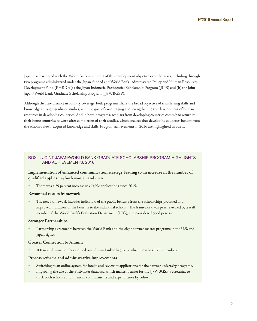Japan has partnered with the World Bank in support of this development objective over the years, including through two programs administered under the Japan-funded and World Bank–administered Policy and Human Resources Development Fund (PHRD): (a) the Japan Indonesia Presidential Scholarship Program ( JIPS) and (b) the Joint Japan/World Bank Graduate Scholarship Program ( JJ/WBGSP).

Although they are distinct in country coverage, both programs share the broad objective of transferring skills and knowledge through graduate studies, with the goal of encouraging and strengthening the development of human resources in developing countries. And in both programs, scholars from developing countries commit to return to their home countries to work after completion of their studies, which ensures that developing countries benefit from the scholars' newly acquired knowledge and skills. Program achievements in 2016 are highlighted in box 1.

#### BOX 1. JOINT JAPAN/WORLD BANK GRADUATE SCHOLARSHIP PROGRAM HIGHLIGHTS AND ACHIEVEMENTS, 2016

#### **Implementation of enhanced communication strategy, leading to an increase in the number of qualified applicants, both women and men**

There was a 29 percent increase in eligible applications since 2015.

#### **Revamped results framework**

The new framework includes indicators of the public benefits from the scholarships provided and improved indicators of the benefits to the individual scholar. The framework was peer reviewed by a staff member of the World Bank's Evaluation Department (IEG), and considered good practice.

#### **Stronger Partnerships**

Partnership agreements between the World Bank and the eight partner master programs in the U.S. and Japan signed.

#### **Greater Connection to Alumni**

100 new alumni members joined our alumni LinkedIn group, which now has 1,756 members.

#### **Process reforms and administrative improvements**

- Switching to an online system for intake and review of applications for the partner university programs.
- Improving the use of the FileMaker database, which makes it easier for the JJ/WBGSP Secretariat to track both scholars and financial commitments and expenditures by cohort.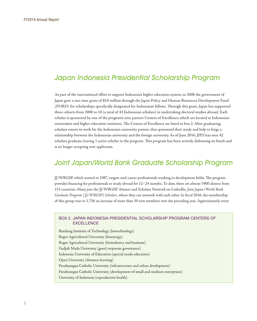# <span id="page-5-0"></span>Japan Indonesia Presidential Scholarship Program

As part of the international effort to support Indonesia's higher education system, in 2008 the government of Japan gave a one-time grant of \$10 million through the Japan Policy and Human Resources Development Fund (PHRD) for scholarships specifically designated for Indonesian fellows. Through this grant, Japan has supported three cohorts from 2008 to 10 (a total of 43 Indonesian scholars) in undertaking doctoral studies abroad. Each scholar is sponsored by one of the program's nine partner Centers of Excellence, which are located at Indonesian universities and higher education institutes. The Centers of Excellence are listed in box 2. After graduating, scholars return to work for the Indonesian university partner that sponsored their study and help to forge a relationship between the Indonesian university and the foreign university. As of June 2016, JIPS has seen 42 scholars graduate, leaving 1 active scholar in the program. This program has been actively disbursing its funds and is no longer accepting new applicants.

# Joint Japan/World Bank Graduate Scholarship Program

JJ/WBGSP, which started in 1987, targets mid-career professionals working in development fields. The program provides financing for professionals to study abroad for 12–24 months. To date, there are almost 5900 alumni from 153 countries. Many join the JJ/WBGSP Alumni and Scholars Network on LinkedIn, *Joint Japan/World Bank Graduate Program ( JJ/WBGSP) Scholars,* where they can network with each other. In fiscal 2016, the membership of this group rose to 1,756 an increase of more than 50 new members over the preceding year. Approximately every

#### BOX 2. JAPAN INDONESIA PRESIDENTIAL SCHOLARSHIP PROGRAM CENTERS OF **EXCELLENCE**

Bandung Institute of Technology (biotechnology) Bogor Agricultural University (bioenergy) Bogor Agricultural University (bioindustry and business) Gadjah Mada University (good corporate governance) Indonesia University of Education (special needs education) Open University (distance learning) Parahyangan Catholic University (infrastructure and urban development) Parahyangan Catholic University (development of small and medium enterprises) University of Indonesia (reproductive health)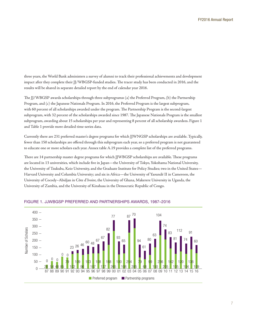three years, the World Bank administers a survey of alumni to track their professional achievements and development impact after they complete their JJ/WBGSP-funded studies. The tracer study has been conducted in 2016, and the results will be shared in separate detailed report by the end of calendar year 2016.

The JJ/WBGSP awards scholarships through three subprograms**:** (a) the Preferred Program, (b) the Partnership Program, and (c) the Japanese Nationals Program*.* In 2016, the Preferred Program is the largest subprogram, with 60 percent of all scholarships awarded under the program. The Partnership Program is the second-largest subprogram, with 32 percent of the scholarships awarded since 1987. The Japanese Nationals Program is the smallest subprogram, awarding about 15 scholarships per year and representing 8 percent of all scholarship awardees. Figure 1 and Table 1 provide more detailed time-series data.

Currently there are 231 preferred master's degree programs for which JJWNGSP scholarships are available. Typically, fewer than 150 scholarships are offered through this subprogram each year, so a preferred program is not guaranteed to educate one or more scholars each year. Annex table A.19 provides a complete list of the preferred programs.

There are 14 partnership master degree programs for which JJWBGSP scholarships are available. These programs are located in 13 universities, which include five in Japan—the University of Tokyo, Yokohama National University, the University of Tsukuba, Keio University, and the Graduate Institute for Policy Studies; two in the United States— Harvard University and Columbia University; and six in Africa—the University of Yaoundé II in Cameroon, the University of Cocody–Abidjan in Côte d'Ivoire, the University of Ghana, Makerere University in Uganda, the University of Zambia, and the University of Kinshasa in the Democratic Republic of Congo.



#### FIGURE 1. JJWBGSP PREFERRED AND PARTNERSHIPS AWARDS, 1987–2016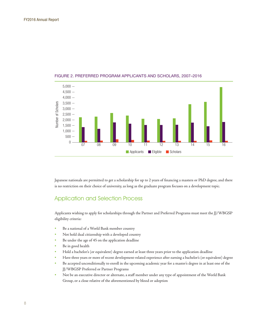

#### FIGURE 2. PREFERRED PROGRAM APPLICANTS AND SCHOLARS, 2007–2016

Japanese nationals are permitted to get a scholarship for up to 2 years of financing a masters or PhD degree, and there is no restriction on their choice of university, as long as the graduate program focuses on a development topic.

## Application and Selection Process

Applicants wishing to apply for scholarships through the Partner and Preferred Programs must meet the JJ/WBGSP eligibility criteria:

- Be a national of a World Bank member country
- Not hold dual citizenship with a developed country
- Be under the age of 45 on the application deadline
- Be in good health
- Hold a bachelor's (or equivalent) degree earned at least three years prior to the application deadline
- Have three years or more of recent development-related experience after earning a bachelor's (or equivalent) degree
- Be accepted unconditionally to enroll in the upcoming academic year for a master's degree in at least one of the JJ/WBGSP Preferred or Partner Programs
- Not be an executive director or alternate, a staff member under any type of appointment of the World Bank Group, or a close relative of the aforementioned by blood or adoption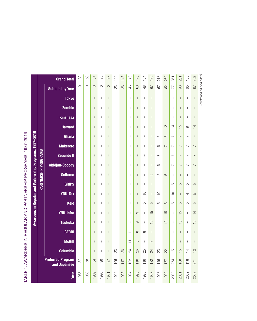|                                                         |                      | <b>Grand Total</b>                       | 32                                    | 58                             | 54                       | 80           | 87             | 129                            | 143                                   | 148                      | 170                            | 164            | 189                            | 213                                   | 259                      | 351                      | 201                      | 183                      | 358                      |                          |
|---------------------------------------------------------|----------------------|------------------------------------------|---------------------------------------|--------------------------------|--------------------------|--------------|----------------|--------------------------------|---------------------------------------|--------------------------|--------------------------------|----------------|--------------------------------|---------------------------------------|--------------------------|--------------------------|--------------------------|--------------------------|--------------------------|--------------------------|
|                                                         |                      | <b>Subtotal by Year</b>                  | $\circ$                               | $\circ$                        | $\circ$                  | $\circ$      | $\circ$        | 23                             | 82                                    | 46                       | 8                              | $\frac{8}{4}$  | 67                             | 52                                    | $\approx$                | $\overline{7}$           | 88                       | 65                       | 87                       |                          |
|                                                         |                      | <b>Tokyo</b>                             | $\mathbf{I}$                          | $\overline{\phantom{a}}$       | I                        | $\mathbf{I}$ | $\overline{1}$ | $\overline{1}$                 | $\mathbf{I}$                          | $\mathbf{I}$             | $\overline{1}$                 | $\mathbf{I}$   | $\overline{1}$                 | $\overline{1}$                        | $\overline{1}$           | $\overline{1}$           | $\mathbf{I}$             | $\mathbf{I}$             | I                        | (continued on next page) |
|                                                         |                      | <b>Zambia</b>                            | $\overline{1}$                        | $\begin{array}{c} \end{array}$ | I                        | $\mathbf{I}$ | $\overline{1}$ | $\overline{1}$                 | $\overline{1}$                        | $\overline{\phantom{a}}$ | $\overline{1}$                 | $\overline{1}$ | $\overline{1}$                 | $\overline{1}$                        | $\overline{1}$           | $\overline{\phantom{a}}$ | $\overline{\phantom{a}}$ | $\overline{1}$           | I.                       |                          |
|                                                         |                      | <b>Kinshasa</b>                          | $\overline{\phantom{a}}$              | $\overline{\phantom{a}}$       |                          | Ť            |                | $\overline{1}$                 | $\overline{1}$                        | $\overline{1}$           | $\overline{1}$                 | $\overline{1}$ | $\overline{1}$                 | $\overline{1}$                        | $\overline{1}$           | $\overline{\phantom{a}}$ | $\overline{\phantom{a}}$ | $\overline{1}$           | I                        |                          |
|                                                         |                      | <b>Harvard</b>                           | $\begin{array}{c} \hline \end{array}$ | $\begin{array}{c} \end{array}$ | $\overline{\phantom{a}}$ | т            | $\overline{1}$ | $\overline{1}$                 | $\overline{1}$                        | $\overline{\phantom{a}}$ | $\overline{1}$                 | $\overline{1}$ | $\overline{1}$                 | $\overline{1}$                        | $\approx$                | $\overline{4}$           | $\frac{5}{1}$            | $\circ$                  | $\overline{4}$           |                          |
| Awardees in Regular and Partnership Programs, 1987-2016 |                      | Ghana                                    | $\mathbf{I}$                          | $\begin{array}{c} \end{array}$ | $\overline{\phantom{a}}$ | $\mathbf{I}$ | $\overline{1}$ | $\mathsf{I}$                   | $\overline{1}$                        | $\mathsf I$              | $\overline{1}$                 | $\overline{1}$ | $\overline{1}$                 | 5                                     | $\circ$                  | $\sim$                   | $\overline{ }$           | $\sim$                   | $\overline{1}$           |                          |
|                                                         |                      | <b>Makerere</b>                          | $\mathbf{I}$                          | $\overline{\phantom{a}}$       | I                        | T            | I              | $\overline{1}$                 | $\mathbf{I}$                          | $\mathbf{I}$             | $\mathbf{I}$                   | $\mathbf{I}$   | $\overline{1}$                 | ဖ                                     | $\overline{\phantom{0}}$ | $\overline{\phantom{0}}$ | $\overline{\phantom{0}}$ | $\overline{\phantom{0}}$ | $\overline{ }$           |                          |
|                                                         |                      | <b>Yaoundé II</b>                        | $\mathbf{I}$                          | $\overline{\phantom{a}}$       | I                        | T            | I              | $\overline{1}$                 | $\mathbf{I}$                          | $\overline{\phantom{a}}$ | $\mathsf{I}$                   | $\mathbf{I}$   | $\overline{1}$                 | $\sim$                                | $\overline{\phantom{a}}$ | $\sim$                   | $\overline{\phantom{0}}$ | $\sim$                   | $\overline{\phantom{0}}$ |                          |
|                                                         |                      | <b>Abidjan-Cocody</b>                    | $\overline{1}$                        | $\overline{\phantom{a}}$       | I                        | T            | I              | $\overline{1}$                 | $\mathbf{I}$                          | $\overline{\phantom{a}}$ | $\overline{1}$                 | $\overline{1}$ | $\overline{1}$                 | 6                                     | $\overline{\phantom{a}}$ | $\overline{\phantom{0}}$ | $\overline{\phantom{0}}$ | $\overline{\phantom{0}}$ | $\overline{ }$           |                          |
|                                                         |                      | <b>Saitama</b>                           | $\overline{1}$                        | $\begin{array}{c} \end{array}$ | I                        | $\mathbf{I}$ | $\overline{1}$ | $\begin{array}{c} \end{array}$ | $\overline{1}$                        | $\overline{\phantom{a}}$ | $\overline{1}$                 | $\overline{1}$ | 5                              | 5                                     | 5                        | $\overline{\phantom{a}}$ | $\overline{1}$           | $\overline{1}$           | $\overline{1}$           |                          |
|                                                         | PARTNERSHIP PROGRAMS | <b>GRIPS</b>                             | $\overline{1}$                        | $\overline{\phantom{a}}$       | I                        | Ť            | $\overline{1}$ | $\overline{1}$                 | $\mathbf{I}$                          | $\overline{\phantom{a}}$ | $\overline{1}$                 | $\overline{1}$ | $\begin{array}{c} \end{array}$ | $\overline{\phantom{a}}$              | $\overline{1}$           | $\overline{5}$           | 5                        | $\overline{5}$           | $\overline{5}$           |                          |
|                                                         |                      | <b>YNU-Tax</b>                           | $\begin{array}{c} \hline \end{array}$ | $\begin{array}{c} \end{array}$ | $\overline{\phantom{a}}$ | $\mathbf{I}$ | $\overline{1}$ | $\begin{array}{c} \end{array}$ | $\overline{1}$                        | $\mathsf I$              | $\overline{1}$                 | $\supseteq$    | $\overline{\phantom{a}}$       | $\supseteq$                           | $\overline{1}$           | $\overline{10}$          | $\overline{\phantom{a}}$ | 4                        | 5                        |                          |
|                                                         |                      | <b>Keio</b>                              | $\overline{1}$                        | $\begin{array}{c} \end{array}$ | I                        | $\mathbf{I}$ | $\overline{1}$ | $\begin{array}{c} \end{array}$ | $\overline{1}$                        | $\mathsf I$              | $\begin{array}{c} \end{array}$ | 5              | 5                              | 5                                     | 5                        | LO                       | 5                        | 5                        | 5                        |                          |
|                                                         |                      | <b>YNU-Infra</b>                         | $\overline{1}$                        | $\overline{\phantom{a}}$       | I                        | T            | I              | $\overline{1}$                 | $\mathbf{I}$                          | $\overline{\phantom{a}}$ | တ                              | $\overline{1}$ | $\frac{5}{1}$                  | $\overline{1}$                        | $\frac{5}{1}$            | $\mathbf{I}$             | $\frac{5}{1}$            | $\overline{1}$           | $\frac{4}{1}$            |                          |
|                                                         |                      | <b>Tsukuba</b>                           | $\mathbf{I}$                          | $\overline{\phantom{a}}$       | $\overline{1}$           | $\mathbf{I}$ | $\overline{1}$ | $\mathsf{I}$                   | $\overline{1}$                        | $\overline{1}$           | တ                              | $\overline{1}$ | $\supseteq$                    | $\overline{1}$                        | $\supseteq$              | $\mathbf{I}$             | $\supseteq$              | $\overline{1}$           | $\overline{C}$           |                          |
|                                                         |                      | <b>CERDI</b>                             | $\overline{1}$                        | $\overline{\phantom{a}}$       | $\overline{1}$           | Ť            | $\overline{1}$ |                                |                                       | Ξ                        | $\infty$                       | $\infty$       | $\overline{1}$                 | $\overline{1}$                        | $\overline{1}$           | $\overline{\phantom{a}}$ | $\overline{1}$           | $\overline{1}$           | I.                       |                          |
|                                                         |                      | <b>McGill</b>                            | $\overline{1}$                        | $\mathsf I$                    | $\overline{1}$           | $\mathbf{I}$ | $\overline{1}$ | $\begin{array}{c} \end{array}$ | $\begin{array}{c} \hline \end{array}$ | $\overline{a}$           | $\infty$                       | $\overline{1}$ | $\infty$                       | $\begin{array}{c} \hline \end{array}$ | $\overline{1}$           | $\overline{\phantom{a}}$ | $\overline{\phantom{a}}$ | $\mathbf{I}$             | T                        |                          |
|                                                         |                      | <b>Columbia</b>                          | $\begin{array}{c} \hline \end{array}$ | $\overline{\phantom{a}}$       | $\overline{\phantom{a}}$ | Ť            | $\overline{1}$ | 23                             | 26                                    | 24                       | 26                             | 25             | 24                             | 23                                    | 22                       | $\frac{5}{1}$            | $\frac{5}{1}$            | $\overline{4}$           | $\frac{1}{2}$            |                          |
|                                                         |                      | <b>Preferred Program</b><br>and Japanese | 32                                    | 58                             | 54                       | 80           | 87             | 106                            | 117                                   | 102                      | 110                            | 116            | 122                            | 146                                   | 177                      | 274                      | 108                      | 118                      | 271                      |                          |
|                                                         |                      | Year                                     | 1987                                  | 1988                           | 1989                     | 1990         | 1991           | 1992                           | 1993                                  | 1994                     | 1995                           | 1996           | 1997                           | 1998                                  | 1999                     | 2000                     | 2001                     | 2002                     | 2003                     |                          |

TABLE 1. AWARDEES IN REGULAR AND PARTNERSHIP PROGRAMS, 1987-2016 TABLE 1. AWARDEES IN REGULAR AND PARTNERSHIP PROGRAMS, 1987–2016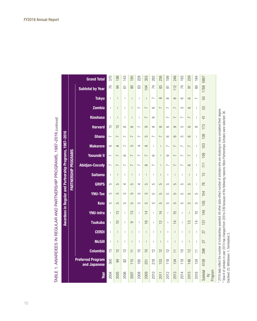|                                                         |                      | <b>Grand Total</b>                       | 370                      | 188                            | 143                            | 195                            | 228                            | 355                      | 292                            | 236                      | 199                      | 246                      | 193                      | 239            | 184                                                                                                                                                                                                                                                                                                                                                                              | 5897                          |                                                                                                                                                                                   |
|---------------------------------------------------------|----------------------|------------------------------------------|--------------------------|--------------------------------|--------------------------------|--------------------------------|--------------------------------|--------------------------|--------------------------------|--------------------------|--------------------------|--------------------------|--------------------------|----------------|----------------------------------------------------------------------------------------------------------------------------------------------------------------------------------------------------------------------------------------------------------------------------------------------------------------------------------------------------------------------------------|-------------------------------|-----------------------------------------------------------------------------------------------------------------------------------------------------------------------------------|
|                                                         |                      | <b>Subtotal by Year</b>                  | 70                       | 34                             | $\overline{6}$                 | 80                             | 83                             | 104                      | $\overline{7}$                 | 83                       | $\overline{5}$           | 112                      | 74                       | 5              | 8                                                                                                                                                                                                                                                                                                                                                                                | 1788                          |                                                                                                                                                                                   |
|                                                         |                      | <b>Tokyo</b>                             | $\overline{\phantom{a}}$ | $\overline{1}$                 | $\overline{1}$                 | $\overline{1}$                 | $\overline{1}$                 | $\overline{1}$           | $\sim$                         | $\infty$                 | $\infty$                 | $\infty$                 | $\circ$                  | $\circ$        | $\overline{ }$                                                                                                                                                                                                                                                                                                                                                                   | 50                            |                                                                                                                                                                                   |
|                                                         |                      | <b>Zambia</b>                            | $\overline{\phantom{a}}$ | $\overline{1}$                 | $\mathbf{I}$                   | $\begin{array}{c} \end{array}$ | $\sim$                         | $\overline{ }$           | $\circ$                        | $\overline{ }$           | $\sim$                   | $\overline{\phantom{0}}$ | $\overline{5}$           | $\circ$        | $\begin{array}{c} \end{array}$                                                                                                                                                                                                                                                                                                                                                   | 52                            |                                                                                                                                                                                   |
|                                                         |                      | <b>Kinshasa</b>                          | $\overline{1}$           | $\overline{1}$                 | $\mathbf{I}$                   | $\mathbf{I}$                   | $\mathbf{I}$                   | $\sim$                   | $\circ$                        |                          | $\sim$                   | $\overline{\phantom{0}}$ | $\sim$                   | $\overline{ }$ | $\begin{array}{c} \end{array}$                                                                                                                                                                                                                                                                                                                                                   | $\overline{4}$                | 2015 has changed from 229 to 239 because of the following reasons; More Partnerships Scholars were selected: 36.                                                                  |
|                                                         |                      | <b>Harvard</b>                           | $\frac{5}{1}$            | $\frac{5}{1}$                  | $\infty$                       | $\circ$                        | $\sim$                         | $\circ$                  | $\infty$                       | $\infty$                 | $\circ$                  | $\infty$                 | 5                        | $\circ$        | $\infty$                                                                                                                                                                                                                                                                                                                                                                         | 173                           |                                                                                                                                                                                   |
| Awardees in Regular and Partnership Programs, 1987-2016 |                      | Ghana                                    | $\sim$                   | $\overline{\phantom{0}}$       | $\overline{\phantom{0}}$       | $\sim$                         | $\overline{}$                  | 5                        | $\sim$                         | $\overline{\phantom{0}}$ | $\circ$                  | $\circ$                  | $\overline{5}$           | $\circ$        | $\mathsf{I}$                                                                                                                                                                                                                                                                                                                                                                     | 109                           |                                                                                                                                                                                   |
|                                                         |                      | <b>Makerere</b>                          | $\circ$                  | 6                              | $\sim$                         | 5                              | 4                              | $\circ$                  | $\mathbf{I}$                   | $\overline{\phantom{a}}$ | $\sim$                   | $\sim$                   | $\sim$                   | $\overline{ }$ | $\overline{1}$                                                                                                                                                                                                                                                                                                                                                                   | 103                           |                                                                                                                                                                                   |
|                                                         | PARTNERSHIP PROGRAMS | <b>Yaoundé II</b>                        | $\overline{ }$           | $\sim$                         | $\circ$                        | $\sim$                         | $\sim$                         | $\overline{ }$           | $\circ$                        | $\overline{1}$           | $\circ$                  | $\overline{ }$           | $\overline{\phantom{0}}$ | $\overline{ }$ | $\begin{array}{c} \end{array}$                                                                                                                                                                                                                                                                                                                                                   | 109                           |                                                                                                                                                                                   |
|                                                         |                      | <b>Abidjan-Cocody</b>                    | $\sim$                   | $\sim$                         | $\overline{ }$                 | $\overline{\phantom{0}}$       | $\overline{}$                  | $\infty$                 | $\sim$                         | $\overline{1}$           | $\overline{\phantom{0}}$ | $\overline{\phantom{0}}$ | $\sim$                   | $\circ$        | $\mathbf{I}$                                                                                                                                                                                                                                                                                                                                                                     | $\overline{11}$               |                                                                                                                                                                                   |
|                                                         |                      | <b>Saitama</b>                           | $\overline{1}$           | $\overline{1}$                 | $\mathbf{I}$                   | $\mathbf{I}$                   | т                              | $\overline{\phantom{a}}$ | $\mathsf{I}$                   | $\mathsf{l}$             | $\overline{\phantom{a}}$ | $\mathbf{I}$             | т                        | Т              | $\mathbf{I}$                                                                                                                                                                                                                                                                                                                                                                     | $\overline{5}$                |                                                                                                                                                                                   |
|                                                         |                      | <b>GRIPS</b>                             | 5                        | 5                              | 4                              | 5                              | 4                              | 5                        | ယ                              | 5                        | $\overline{5}$           | $\overline{5}$           | 5                        | 5              | $\overline{1}$                                                                                                                                                                                                                                                                                                                                                                   | $\frac{8}{2}$                 |                                                                                                                                                                                   |
|                                                         |                      | <b>YNU-Tax</b>                           | 5                        | 5                              | 5                              | 5                              | 5                              | 5                        | 5                              | 5                        | LO                       | 5                        | 5                        | 5              | 5                                                                                                                                                                                                                                                                                                                                                                                | 104                           |                                                                                                                                                                                   |
|                                                         |                      | <b>Keio</b>                              | ယ                        | $\overline{5}$                 | $\overline{5}$                 | 5                              | LO                             | $\overline{5}$           | LO                             | 5                        | $\overline{D}$           | $\overline{c}$           | $\overline{10}$          | $\overline{5}$ | ယ                                                                                                                                                                                                                                                                                                                                                                                | 105                           |                                                                                                                                                                                   |
|                                                         |                      | <b>YNU-Infra</b>                         | $\overline{\phantom{a}}$ | 5                              | $\mathbf{I}$                   | $\frac{1}{2}$                  | $\mathbf{I}$                   | $\overline{4}$           | $\overline{1}$                 | $\overline{4}$           | $\overline{\phantom{a}}$ | 5                        | $\overline{1}$           | Т              | $\supseteq$                                                                                                                                                                                                                                                                                                                                                                      | 149                           |                                                                                                                                                                                   |
|                                                         |                      | <b>Tsukuba</b>                           | $\mathbf{I}$             | $\supseteq$                    | $\overline{1}$                 | တ                              | $\overline{1}$                 | $\frac{1}{2}$            | $\begin{array}{c} \end{array}$ | $\overline{2}$           | $\overline{1}$           | $\overline{4}$           | ı                        | $\frac{3}{2}$  | $\overline{4}$                                                                                                                                                                                                                                                                                                                                                                   | 137                           |                                                                                                                                                                                   |
|                                                         |                      | <b>CERDI</b>                             | $\overline{\phantom{a}}$ | $\overline{1}$                 | $\mathbf{I}$                   | $\mathbf{I}$                   | $\overline{1}$                 | $\overline{1}$           | $\mathbf{I}$                   | $\overline{\phantom{a}}$ | $\overline{\phantom{a}}$ | $\overline{\phantom{a}}$ | $\overline{1}$           | T              | $\begin{array}{c} \rule{0pt}{2.5ex} \rule{0pt}{2.5ex} \rule{0pt}{2.5ex} \rule{0pt}{2.5ex} \rule{0pt}{2.5ex} \rule{0pt}{2.5ex} \rule{0pt}{2.5ex} \rule{0pt}{2.5ex} \rule{0pt}{2.5ex} \rule{0pt}{2.5ex} \rule{0pt}{2.5ex} \rule{0pt}{2.5ex} \rule{0pt}{2.5ex} \rule{0pt}{2.5ex} \rule{0pt}{2.5ex} \rule{0pt}{2.5ex} \rule{0pt}{2.5ex} \rule{0pt}{2.5ex} \rule{0pt}{2.5ex} \rule{0$ | 27                            |                                                                                                                                                                                   |
|                                                         |                      | <b>McGill</b>                            | $\mathsf{l}$             | $\begin{array}{c} \end{array}$ | $\begin{array}{c} \end{array}$ | $\begin{array}{c} \end{array}$ | $\begin{array}{c} \end{array}$ | $\overline{1}$           | $\mathsf{I}$                   | $\overline{\phantom{a}}$ | $\overline{\phantom{a}}$ | $\overline{1}$           | I                        | T              | $\begin{array}{c} \end{array}$                                                                                                                                                                                                                                                                                                                                                   | 27                            |                                                                                                                                                                                   |
|                                                         |                      | <b>Columbia</b>                          | $\frac{1}{2}$            | $\approx$                      | $\approx$                      | Ξ                              | $\supseteq$                    | $\supseteq$              | $\approx$                      | $\frac{2}{3}$            | $\approx$                | Ξ                        | $\supseteq$              | $\approx$      | Ξ                                                                                                                                                                                                                                                                                                                                                                                | 398                           |                                                                                                                                                                                   |
|                                                         |                      | <b>Preferred Program</b><br>and Japanese | 300                      | 94                             | 82                             | 115                            | 165                            | 251                      | 218                            | 153                      | 118                      | 134                      | 119                      | 148            | 124                                                                                                                                                                                                                                                                                                                                                                              | 4109                          |                                                                                                                                                                                   |
|                                                         |                      | Year                                     | 2004                     | 2005                           | 2006                           | 2007                           | 2008                           | 2009                     | 2010                           | 2011                     | 2012                     | 2013                     | 2014                     | 2015           | 2016                                                                                                                                                                                                                                                                                                                                                                             | Subtotal<br>Program<br>$\geq$ | * 2016 data reflect the number of scholarships awarded. All other data reflect number of scholars who are studying or have completed their degree.<br>Total # of scholars in year |

TABLE 1. AWARDEES IN REGULAR AND PARTNERSHIP PROGRAMS, 1987–2016 TABLE 1. AWARDEES IN REGULAR AND PARTNERSHIP PROGRAMS, 1987-2016 (continued)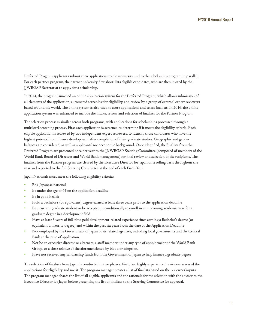Preferred Program applicants submit their applications to the university and to the scholarship program in parallel. For each partner program, the partner university first short-lists eligible candidates, who are then invited by the JJWBGSP Secretariat to apply for a scholarship.

In 2014, the program launched an online application system for the Preferred Program, which allows submission of all elements of the application, automated screening for eligibility, and review by a group of external expert reviewers based around the world. The online system is also used to score applications and select finalists. In 2016, the online application system was enhanced to include the intake, review and selection of finalists for the Partner Program.

The selection process is similar across both programs, with applications for scholarships processed through a multilevel screening process. First each application is screened to determine if it meets the eligibility criteria. Each eligible application is reviewed by two independent expert reviewers, to identify those candidates who have the highest potential to influence development after completion of their graduate studies. Geographic and gender balances are considered, as well as applicants' socioeconomic background. Once identified, the finalists from the Preferred Program are presented once per year to the JJ/WBGSP Steering Committee (composed of members of the World Bank Board of Directors and World Bank management) for final review and selection of the recipients. The finalists from the Partner program are cleared by the Executive Director for Japan on a rolling basis throughout the year and reported to the full Steering Committee at the end of each Fiscal Year.

Japan Nationals must meet the following eligibility criteria:

- Be a Japanese national
- Be under the age of 45 on the application deadline
- Be in good health
- Hold a bachelor's (or equivalent) degree earned at least three years prior to the application deadline
- Be a current graduate student or be accepted unconditionally to enroll in an upcoming academic year for a graduate degree in a development field
- Have at least 3 years of full-time paid development-related experience since earning a Bachelor's degree (or equivalent university degree) and within the past six years from the date of the Application Deadline
- Not employed by the Government of Japan or its related agencies, including local governments and the Central Bank at the time of application
- Not be an executive director or alternate, a staff member under any type of appointment of the World Bank Group, or a close relative of the aforementioned by blood or adoption,
- Have not received any scholarship funds from the Government of Japan to help finance a graduate degree

The selection of finalists from Japan is conducted in two phases. First, two highly experienced reviewers assessed the applications for eligibility and merit. The program manager creates a list of finalists based on the reviewers' inputs. The program manager shares the list of all eligible applicants and the rationale for the selection with the adviser to the Executive Director for Japan before presenting the list of finalists to the Steering Committee for approval.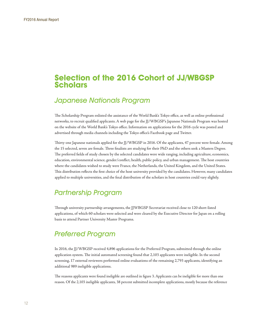# <span id="page-11-0"></span>**Selection of the 2016 Cohort of JJ/WBGSP Scholars**

# Japanese Nationals Program

The Scholarship Program enlisted the assistance of the World Bank's Tokyo office, as well as online professional networks, to recruit qualified applicants. A web page for the JJ/WBGSP's Japanese Nationals Program was hosted on the website of the World Bank's Tokyo office. Information on applications for the 2016 cycle was posted and advertised through media channels including the Tokyo office's Facebook page and Twitter.

Thirty-one Japanese nationals applied for the JJ/WBGSP in 2016. Of the applicants, 47 percent were female. Among the 15 selected, seven are female. Three finalists are studying for their PhD and the others seek a Masters Degree. The preferred fields of study chosen by the selected candidates were wide ranging, including agriculture, economics, education, environmental science, gender/conflict, health, public policy, and urban management. The host countries where the candidates wished to study were France, the Netherlands, the United Kingdom, and the United States. This distribution reflects the first choice of the host university provided by the candidates. However, many candidates applied to multiple universities, and the final distribution of the scholars in host countries could vary slightly.

# Partnership Program

Through university partnership arrangements, the JJWBGSP Secretariat received close to 120 short-listed applications, of which 60 scholars were selected and were cleared by the Executive Director for Japan on a rolling basis to attend Partner University Master Programs.

# Preferred Program

In 2016, the JJ/WBGSP received 4,896 applications for the Preferred Program, submitted through the online application system. The initial automated screening found that 2,103 applicants were ineligible. In the second screening, 17 external reviewers performed online evaluations of the remaining 2,793 applicants, identifying an additional 989 ineligible applications.

The reasons applicants were found ineligible are outlined in figure 3. Applicants can be ineligible for more than one reason. Of the 2,103 ineligible applicants, 38 percent submitted incomplete applications, mostly because the reference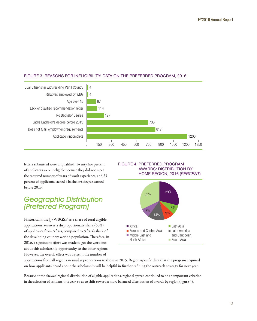## <span id="page-12-0"></span>FIGURE 3. REASONS FOR INELIGIBILITY: DATA ON THE PREFERRED PROGRAM, 2016



letters submitted were unqualified. Twenty five percent of applicants were ineligible because they did not meet the required number of years of work experience, and 23 percent of applicants lacked a bachelor's degree earned before 2013.

# Geographic Distribution (Preferred Program)

Historically, the JJ/WBGSP as a share of total eligible applications, receives a disproportionate share (60%) of applicants from Africa, compared to Africa's share of the developing country world's population. Therefore, in 2016, a significant effort was made to get the word out about this scholarship opportunity to the other regions. However, the overall effect was a rise in the number of

#### FIGURE 4. PREFERRED PROGRAM AWARDS: DISTRIBUTION BY HOME REGION, 2016 (*PERCENT*)



applications from all regions in similar proportions to those in 2015. Region-specific data that the program acquired on how applicants heard about the scholarship will be helpful in further refining the outreach strategy for next year.

Because of the skewed regional distribution of eligible applications, regional spread continued to be an important criterion in the selection of scholars this year, so as to shift toward a more balanced distribution of awards by region (figure 4).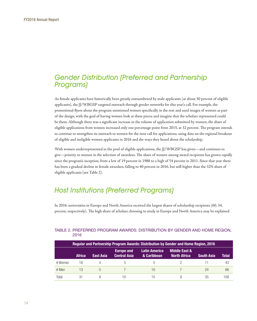# <span id="page-13-0"></span>Gender Distribution (Preferred and Partnership Programs)

As female applicants have historically been greatly outnumbered by male applicants (at about 30 percent of eligible applicants), the JJ/WBGSP targeted outreach through gender networks for this year's call. For example, the promotional flyers about the program mentioned women specifically in the text and used images of women as part of the design, with the goal of having women look at these pieces and imagine that the scholars represented could be them. Although there was a significant increase in the volume of application submitted by women, the share of eligible applications from women increased only one percentage point from 2015, at 32 percent. The program intends to continue to strengthen its outreach to women for the next call for applications, using data on the regional breakout of eligible and ineligible women applicants in 2016 and the ways they heard about the scholarship.

With women underrepresented in the pool of eligible applications, the JJ/WBGSP has given—and continues to give—priority to women in the selection of awardees. The share of women among award recipients has grown rapidly since the program's inception, from a low of 19 percent in 1988 to a high of 54 percent in 2011. Since that year there has been a gradual decline in female awardees, falling to 40 percent in 2016, but still higher than the 32% share of eligible applicants (see Table 2).

# Host Institutions (Preferred Programs)

In 2016, universities in Europe and North America received the largest shares of scholarship recipients (60, 34, percent, respectively). The high share of scholars choosing to study in Europe and North America may be explained

| Reqular and Partnership Program Awards: Distribution by Gender and Home Region, 2016 |               |                  |                                          |                                     |                                                 |                   |              |  |  |  |  |  |
|--------------------------------------------------------------------------------------|---------------|------------------|------------------------------------------|-------------------------------------|-------------------------------------------------|-------------------|--------------|--|--|--|--|--|
|                                                                                      | <b>Africa</b> | <b>East Asia</b> | <b>Europe and</b><br><b>Central Asia</b> | <b>Latin America</b><br>& Caribbean | <b>Middle East &amp;</b><br><b>North Africa</b> | <b>South Asia</b> | <b>Total</b> |  |  |  |  |  |
| # Women                                                                              | 18            |                  |                                          | h.                                  |                                                 |                   | 43           |  |  |  |  |  |
| # Men                                                                                | 13            | 5                |                                          | 10                                  |                                                 | 24                | 66           |  |  |  |  |  |
| Total                                                                                | 31            | 9                | 10                                       | 15                                  |                                                 | 35                | 109          |  |  |  |  |  |

#### TABLE 2. PREFERRED PROGRAM AWARDS: DISTRIBUTION BY GENDER AND HOME REGION, 2016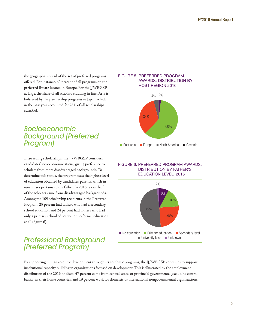<span id="page-14-0"></span>the geographic spread of the set of preferred programs offered. For instance, 60 percent of all programs on the preferred list are located in Europe. For the JJWBGSP at large, the share of all scholars studying in East Asia is bolstered by the partnership programs in Japan, which in the past year accounted for 25% of all scholarships awarded.

# Socioeconomic Background (Preferred Program)

In awarding scholarships, the JJ/WBGSP considers candidates' socioeconomic status, giving preference to scholars from more disadvantaged backgrounds. To determine this status, the program uses the highest level of education obtained by candidates' parents, which in most cases pertains to the father. In 2016, about half of the scholars came from disadvantaged backgrounds. Among the 109 scholarship recipients in the Preferred Program, 25 percent had fathers who had a secondary school education and 24 percent had fathers who had only a primary school education or no formal education at all (figure 6).

# Professional Background (Preferred Program)

#### FIGURE 5. PREFERRED PROGRAM AWARDS: DISTRIBUTION BY HOST REGION 2016



#### FIGURE 6. PREFERRED PROGRAM AWARDS: DISTRIBUTION BY FATHER'S EDUCATION LEVEL, 2016



By supporting human resource development through its academic programs, the JJ/WBGSP continues to support institutional capacity building in organizations focused on development. This is illustrated by the employment distribution of the 2016 finalists: 57 percent come from central, state, or provincial governments (excluding central banks) in their home countries, and 19 percent work for domestic or international nongovernmental organizations.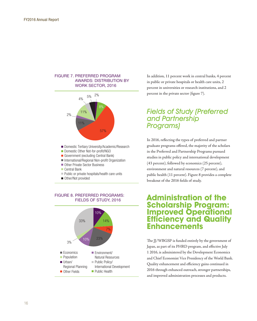#### <span id="page-15-0"></span>FIGURE 7. PREFERRED PROGRAM AWARDS: DISTRIBUTION BY WORK SECTOR, 2016



- Domestic Other Not-for-profit/NGO
- Government (excluding Central Bank)
- International/Regional Non-profit Organization
- Other Private Sector Business
- Central Bank
- **Public or private hospitals/health care units**
- Other/Not provided

#### FIGURE 8. PREFERRED PROGRAMS: FIELDS OF STUDY, 2016



In addition, 11 percent work in central banks, 4 percent in public or private hospitals or health care units, 2 percent in universities or research institutions, and 2 percent in the private sector (figure 7).

# Fields of Study (Preferred and Partnership Programs)

In 2016, reflecting the types of preferred and partner graduate programs offered, the majority of the scholars in the Preferred and Partnership Programs pursued studies in public policy and international development (43 percent), followed by economics (25 percent), environment and natural resources (7 percent), and public health (11 percent). Figure 8 provides a complete breakout of the 2016 fields of study.

# **Administration of the Scholarship Program: Improved Operational Efficiency and Quality Enhancements**

The JJ/WBGSP is funded entirely by the government of Japan, as part of its PHRD program, and effective July 1 2016, is administered by the Development Economics and Chief Economist Vice Presidency of the World Bank. Quality enhancement and efficiency gains continued in 2016 through enhanced outreach, stronger partnerships, and improved administration processes and products.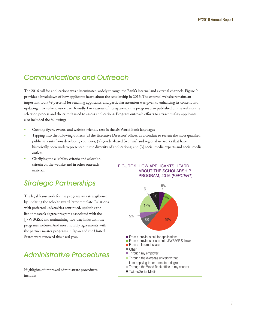# <span id="page-16-0"></span>Communications and Outreach

The 2016 call for applications was disseminated widely through the Bank's internal and external channels. Figure 9 provides a breakdown of how applicants heard about the scholarship in 2016. The external website remains an important tool (49 percent) for reaching applicants, and particular attention was given to enhancing its content and updating it to make it more user friendly. For reasons of transparency, the program also published on the website the selection process and the criteria used to assess applications. Program outreach efforts to attract quality applicants also included the following:

- Creating flyers, tweets, and website-friendly text in the six World Bank languages
- Tapping into the following outlets: (a) the Executive Directors' offices, as a conduit to recruit the most qualified public servants from developing countries; (2) gender-based (women) and regional networks that have historically been underrepresented in the diversity of applications; and (3) social media experts and social media outlets
- Clarifying the eligibility criteria and selection criteria on the website and in other outreach material

# Strategic Partnerships

The legal framework for the program was strengthened by updating the scholar award letter template. Relations with preferred universities continued, updating the list of master's degree programs associated with the JJ/WBGSP, and maintaining two-way links with the program's website. And most notably, agreements with the partner master programs in Japan and the United States were renewed this fiscal year.

# Administrative Procedures

Highlights of improved administrate procedures include:





I am applying to for a masters degree

- Through the World Bank office in my country
- Twitter/Social Media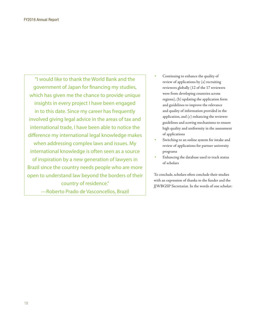"I would like to thank the World Bank and the government of Japan for financing my studies, which has given me the chance to provide unique insights in every project I have been engaged in to this date. Since my career has frequently involved giving legal advice in the areas of tax and international trade, I have been able to notice the difference my international legal knowledge makes when addressing complex laws and issues. My international knowledge is often seen as a source of inspiration by a new generation of lawyers in Brazil since the country needs people who are more open to understand law beyond the borders of their country of residence."

—Roberto Prado de Vasconcellos, Brazil

- Continuing to enhance the quality of review of applications by (a) recruiting reviewers globally (12 of the 17 reviewers were from developing countries across regions), (b) updating the application form and guidelines to improve the relevance and quality of information provided in the application, and (c) enhancing the reviewer guidelines and scoring mechanisms to ensure high quality and uniformity in the assessment of applications
- Switching to an online system for intake and review of applications for partner university programs
- Enhancing the database used to track status of scholars

To conclude, scholars often conclude their studies with an expression of thanks to the funder and the JJWBGSP Secretariat. In the words of one scholar: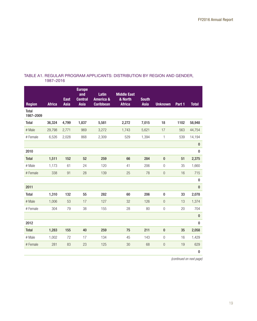## <span id="page-18-0"></span>TABLE A1. REGULAR PROGRAM APPLICANTS: DISTRIBUTION BY REGION AND GENDER, 1987–2016

| <b>Region</b>      | <b>Africa</b> | <b>East</b><br>Asia | <b>Europe</b><br>and<br><b>Central</b><br>Asia | Latin<br><b>America &amp;</b><br><b>Caribbean</b> | <b>Middle East</b><br>& North<br><b>Africa</b> | <b>South</b><br><b>Asia</b> | <b>Unknown</b>   | Part 1 | <b>Total</b> |
|--------------------|---------------|---------------------|------------------------------------------------|---------------------------------------------------|------------------------------------------------|-----------------------------|------------------|--------|--------------|
| Total<br>1987-2009 |               |                     |                                                |                                                   |                                                |                             |                  |        |              |
| Total              | 36,324        | 4,799               | 1,837                                          | 5,581                                             | 2,272                                          | 7,015                       | 18               | 1102   | 58,948       |
| # Male             | 29,798        | 2,771               | 969                                            | 3,272                                             | 1,743                                          | 5,621                       | 17               | 563    | 44,754       |
| # Female           | 6,526         | 2,028               | 868                                            | 2,309                                             | 529                                            | 1,394                       | $\mathbf{1}$     | 539    | 14,194       |
|                    |               |                     |                                                |                                                   |                                                |                             |                  |        | $\bf{0}$     |
| 2010               |               |                     |                                                |                                                   |                                                |                             |                  |        | $\pmb{0}$    |
| <b>Total</b>       | 1,511         | 152                 | 52                                             | 259                                               | 66                                             | 284                         | $\bf{0}$         | 51     | 2,375        |
| # Male             | 1,173         | 61                  | 24                                             | 120                                               | 41                                             | 206                         | $\overline{0}$   | 35     | 1,660        |
| # Female           | 338           | 91                  | 28                                             | 139                                               | 25                                             | 78                          | $\mathbf 0$      | 16     | 715          |
|                    |               |                     |                                                |                                                   |                                                |                             |                  |        | 0            |
| 2011               |               |                     |                                                |                                                   |                                                |                             |                  |        | $\pmb{0}$    |
| <b>Total</b>       | 1,310         | 132                 | 55                                             | 282                                               | 60                                             | 206                         | $\bf{0}$         | 33     | 2,078        |
| # Male             | 1,006         | 53                  | 17                                             | 127                                               | 32                                             | 126                         | $\overline{0}$   | 13     | 1,374        |
| # Female           | 304           | 79                  | 38                                             | 155                                               | 28                                             | 80                          | $\boldsymbol{0}$ | 20     | 704          |
|                    |               |                     |                                                |                                                   |                                                |                             |                  |        | $\pmb{0}$    |
| 2012               |               |                     |                                                |                                                   |                                                |                             |                  |        | 0            |
| Total              | 1,283         | 155                 | 40                                             | 259                                               | 75                                             | 211                         | $\bf{0}$         | 35     | 2,058        |
| # Male             | 1,002         | 72                  | 17                                             | 134                                               | 45                                             | 143                         | $\overline{0}$   | 16     | 1,429        |
| # Female           | 281           | 83                  | 23                                             | 125                                               | 30                                             | 68                          | $\overline{0}$   | 19     | 629          |
|                    |               |                     |                                                |                                                   |                                                |                             |                  |        | $\pmb{0}$    |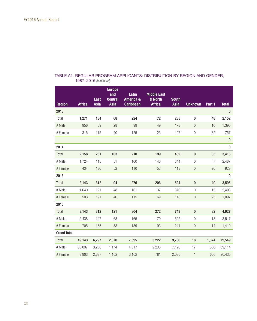| <b>Region</b>      | <b>Africa</b> | <b>East</b><br><b>Asia</b> | <b>Europe</b><br>and<br><b>Central</b><br><b>Asia</b> | Latin<br><b>America &amp;</b><br><b>Caribbean</b> | <b>Middle East</b><br>& North<br><b>Africa</b> | <b>South</b><br>Asia | <b>Unknown</b>   | Part 1         | <b>Total</b> |
|--------------------|---------------|----------------------------|-------------------------------------------------------|---------------------------------------------------|------------------------------------------------|----------------------|------------------|----------------|--------------|
| 2013               |               |                            |                                                       |                                                   |                                                |                      |                  |                | 0            |
| Total              | 1,271         | 184                        | 68                                                    | 224                                               | 72                                             | 285                  | 0                | 48             | 2,152        |
| # Male             | 956           | 69                         | 28                                                    | 99                                                | 49                                             | 178                  | $\theta$         | 16             | 1,395        |
| # Female           | 315           | 115                        | 40                                                    | 125                                               | 23                                             | 107                  | $\mathbf 0$      | 32             | 757          |
|                    |               |                            |                                                       |                                                   |                                                |                      |                  |                | $\pmb{0}$    |
| 2014               |               |                            |                                                       |                                                   |                                                |                      |                  |                | $\pmb{0}$    |
| Total              | 2,158         | 251                        | 103                                                   | 210                                               | 199                                            | 462                  | $\pmb{0}$        | 33             | 3,416        |
| # Male             | 1,724         | 115                        | 51                                                    | 100                                               | 146                                            | 344                  | $\mathbf 0$      | $\overline{7}$ | 2,487        |
| # Female           | 434           | 136                        | 52                                                    | 110                                               | 53                                             | 118                  | $\boldsymbol{0}$ | 26             | 929          |
| 2015               |               |                            |                                                       |                                                   |                                                |                      |                  |                | 0            |
| <b>Total</b>       | 2,143         | 312                        | 94                                                    | 276                                               | 206                                            | 524                  | $\bf{0}$         | 40             | 3,595        |
| # Male             | 1,640         | 121                        | 48                                                    | 161                                               | 137                                            | 376                  | $\overline{0}$   | 15             | 2,498        |
| # Female           | 503           | 191                        | 46                                                    | 115                                               | 69                                             | 148                  | $\boldsymbol{0}$ | 25             | 1,097        |
| 2016               |               |                            |                                                       |                                                   |                                                |                      |                  |                |              |
| <b>Total</b>       | 3,143         | 312                        | 121                                                   | 304                                               | 272                                            | 743                  | $\bf{0}$         | 32             | 4,927        |
| # Male             | 2,438         | 147                        | 68                                                    | 165                                               | 179                                            | 502                  | $\overline{0}$   | 18             | 3,517        |
| # Female           | 705           | 165                        | 53                                                    | 139                                               | 93                                             | 241                  | $\theta$         | 14             | 1,410        |
| <b>Grand Total</b> |               |                            |                                                       |                                                   |                                                |                      |                  |                |              |
| Total              | 49,143        | 6,297                      | 2,370                                                 | 7,395                                             | 3,222                                          | 9,730                | 18               | 1,374          | 79,549       |
| # Male             | 38,097        | 3,288                      | 1,174                                                 | 4,017                                             | 2,235                                          | 7,120                | 17               | 668            | 59,114       |
| # Female           | 8,903         | 2,697                      | 1,102                                                 | 3,102                                             | 781                                            | 2,086                | $\mathbf{1}$     | 666            | 20,435       |

## TABLE A1. REGULAR PROGRAM APPLICANTS: DISTRIBUTION BY REGION AND GENDER, 1987–2016 *(continued)*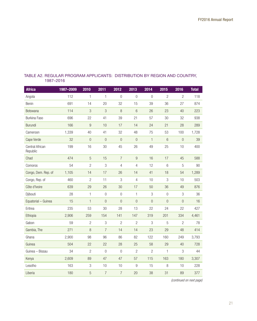| <b>Africa</b>               | 1987-2009 | 2010                      | 2011                      | 2012             | 2013             | 2014           | 2015           | 2016             | <b>Total</b> |
|-----------------------------|-----------|---------------------------|---------------------------|------------------|------------------|----------------|----------------|------------------|--------------|
| Angola                      | 112       | 1                         | 1                         | $\overline{0}$   | $\overline{0}$   | $\mathbf 0$    | $\mathbf{2}$   | $\overline{2}$   | 118          |
| Benin                       | 691       | 14                        | 20                        | 32               | 15               | 39             | 36             | 27               | 874          |
| Botswana                    | 114       | $\ensuremath{\mathsf{3}}$ | 3                         | $\, 8$           | $\,$ 6 $\,$      | 26             | 23             | 40               | 223          |
| Burkina Faso                | 696       | 22                        | 41                        | 39               | 21               | 57             | 30             | 32               | 938          |
| Burundi                     | 166       | $\boldsymbol{9}$          | 10                        | 17               | 14               | 24             | 21             | 28               | 289          |
| Cameroon                    | 1,339     | 40                        | 41                        | 32               | 48               | 75             | 53             | 100              | 1,728        |
| Cape Verde                  | 32        | $\boldsymbol{0}$          | $\mathbf 0$               | $\mathbf 0$      | $\mathbf 0$      | $\mathbf{1}$   | 6              | $\boldsymbol{0}$ | 39           |
| Central African<br>Republic | 199       | 16                        | 30                        | 45               | 26               | 49             | 25             | 10               | 400          |
| Chad                        | 474       | $\mathbf 5$               | 15                        | $\overline{7}$   | 9                | 16             | 17             | 45               | 588          |
| Comoros                     | 54        | $\mathbf{2}$              | 3                         | $\overline{4}$   | $\overline{4}$   | 12             | 6              | 5                | 90           |
| Congo, Dem. Rep. of         | 1,105     | 14                        | 17                        | 26               | 14               | 41             | 18             | 54               | 1,289        |
| Congo, Rep. of              | 460       | $\mathbf{2}$              | 11                        | 3                | $\overline{4}$   | 10             | 3              | 10               | 503          |
| Côte d'Ivoire               | 639       | 29                        | 26                        | 30               | 17               | 50             | 36             | 49               | 876          |
| Djibouti                    | 28        | $\mathbf{1}$              | $\overline{0}$            | $\boldsymbol{0}$ | $\mathbf{1}$     | 3              | $\overline{0}$ | 3                | 36           |
| Equatorial - Guinea         | 15        | $\mathbf{1}$              | $\overline{0}$            | $\overline{0}$   | $\overline{0}$   | $\overline{0}$ | $\overline{0}$ | $\overline{0}$   | 16           |
| Eritrea                     | 235       | 53                        | 30                        | 28               | 13               | 22             | 24             | 22               | 427          |
| Ethiopia                    | 2,906     | 259                       | 154                       | 141              | 147              | 319            | 201            | 334              | 4,461        |
| Gabon                       | 59        | $\overline{c}$            | $\ensuremath{\mathsf{3}}$ | $\mathbf{2}$     | $\mathbf{2}$     | 3              | 5              | $\overline{c}$   | 78           |
| Gambia, The                 | 271       | $\, 8$                    | $\overline{7}$            | 14               | 14               | 23             | 29             | 48               | 414          |
| Ghana                       | 2,900     | 98                        | 96                        | 86               | 82               | 122            | 160            | 249              | 3,793        |
| Guinea                      | 504       | 22                        | 22                        | 28               | 25               | 58             | 29             | 40               | 728          |
| Guinea - Bissau             | 34        | $\overline{2}$            | $\overline{0}$            | $\overline{0}$   | $\overline{c}$   | $\overline{2}$ | 1              | 3                | 44           |
| Kenya                       | 2,609     | 89                        | 47                        | 47               | 57               | 115            | 163            | 180              | 3,307        |
| Lesotho                     | 163       | $\ensuremath{\mathsf{3}}$ | 10                        | 10               | $\boldsymbol{9}$ | 15             | 8              | 10               | 228          |
| Liberia                     | 180       | 5                         | $\overline{7}$            | $\overline{7}$   | 20               | 38             | 31             | 89               | 377          |

#### TABLE A2. REGULAR PROGRAM APPLICANTS: DISTRIBUTION BY REGION AND COUNTRY, 1987–2016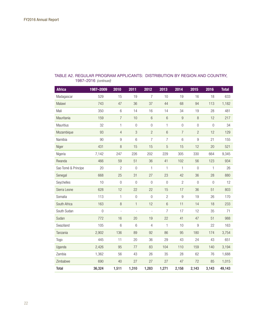| <b>Africa</b>       | 1987-2009 | 2010           | 2011             | 2012             | 2013           | 2014           | 2015             | 2016           | <b>Total</b> |
|---------------------|-----------|----------------|------------------|------------------|----------------|----------------|------------------|----------------|--------------|
| Madagascar          | 529       | 15             | 19               | $\overline{7}$   | 10             | 19             | 16               | 18             | 633          |
| Malawi              | 743       | 47             | 36               | 37               | 44             | 68             | 94               | 113            | 1,182        |
| Mali                | 350       | 6              | 14               | 16               | 14             | 34             | 19               | 28             | 481          |
| Mauritania          | 159       | $\overline{7}$ | 10               | 6                | 6              | $9\,$          | $\,8\,$          | 12             | 217          |
| <b>Mauritius</b>    | 32        | $\mathbf{1}$   | $\boldsymbol{0}$ | $\boldsymbol{0}$ | 1              | $\overline{0}$ | $\boldsymbol{0}$ | $\overline{0}$ | 34           |
| Mozambique          | 93        | $\overline{4}$ | 3                | $\overline{c}$   | 6              | $\overline{7}$ | $\overline{c}$   | 12             | 129          |
| Namibia             | 90        | 9              | 6                | 7                | 7              | 6              | 9                | 21             | 155          |
| Niger               | 431       | 8              | 15               | 15               | 5              | 15             | 12               | 20             | 521          |
| Nigeria             | 7,142     | 247            | 226              | 202              | 229            | 305            | 330              | 664            | 9,345        |
| Rwanda              | 466       | 59             | 51               | 36               | 41             | 102            | 56               | 123            | 934          |
| Sao Tomé & Principe | 20        | $\mathbf{2}$   | $\boldsymbol{0}$ | 1                | 1              | $\mathbf{1}$   | $\boldsymbol{0}$ | 1              | 26           |
| Senegal             | 668       | 25             | 31               | 27               | 23             | 42             | 36               | 28             | 880          |
| Seychelles          | 10        | $\overline{0}$ | $\overline{0}$   | $\overline{0}$   | $\overline{0}$ | $\overline{2}$ | $\overline{0}$   | $\overline{0}$ | 12           |
| Sierra Leone        | 628       | 12             | 22               | 22               | 15             | 17             | 36               | 51             | 803          |
| Somalia             | 113       | 1              | $\boldsymbol{0}$ | $\overline{0}$   | $\overline{2}$ | 9              | 19               | 26             | 170          |
| South Africa        | 163       | 8              | $\mathbf{1}$     | 12               | 6              | 11             | 14               | 18             | 233          |
| South Sudan         | 0         |                | $\overline{a}$   | $\overline{a}$   | 7              | 17             | 12               | 35             | 71           |
| Sudan               | 772       | 16             | 20               | 19               | 22             | 41             | 47               | 51             | 988          |
| Swaziland           | 105       | $6\phantom{1}$ | 6                | $\overline{4}$   | 1              | 10             | $\boldsymbol{9}$ | 22             | 163          |
| Tanzania            | 2,902     | 136            | 89               | 92               | 86             | 95             | 180              | 174            | 3,754        |
| Togo                | 445       | 11             | 20               | 36               | 29             | 43             | 24               | 43             | 651          |
| Uganda              | 2,426     | 95             | 77               | 83               | 104            | 110            | 159              | 140            | 3,194        |
| Zambia              | 1,362     | 56             | 43               | 26               | 35             | 28             | 62               | 76             | 1,688        |
| Zimbabwe            | 690       | 40             | 27               | 27               | 27             | 47             | 72               | 85             | 1,015        |
| <b>Total</b>        | 36,324    | 1,511          | 1,310            | 1,283            | 1,271          | 2,158          | 2,143            | 3,143          | 49,143       |

## TABLE A2. REGULAR PROGRAM APPLICANTS: DISTRIBUTION BY REGION AND COUNTRY, 1987–2016 *(continued)*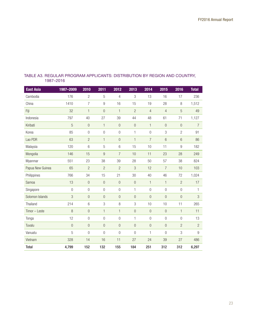| <b>East Asia</b> | 1987-2009      | 2010           | 2011             | 2012             | 2013           | 2014           | 2015           | 2016             | <b>Total</b>   |
|------------------|----------------|----------------|------------------|------------------|----------------|----------------|----------------|------------------|----------------|
| Cambodia         | 176            | $\overline{2}$ | 5                | $\overline{4}$   | 3              | 13             | 16             | 17               | 236            |
| China            | 1410           | $\overline{7}$ | $\boldsymbol{9}$ | 16               | 15             | 19             | 28             | 8                | 1,512          |
| Fiji             | 32             | $\mathbf{1}$   | $\boldsymbol{0}$ | $\mathbf{1}$     | $\overline{2}$ | $\overline{4}$ | $\overline{4}$ | $\mathbf 5$      | 49             |
| Indonesia        | 797            | 40             | 27               | 39               | 44             | 48             | 61             | 71               | 1,127          |
| Kiribati         | 5              | $\mathbf 0$    | $\mathbf{1}$     | $\theta$         | $\theta$       | $\mathbf{1}$   | $\overline{0}$ | $\mathbf 0$      | $\overline{7}$ |
| Korea            | 85             | $\overline{0}$ | $\overline{0}$   | $\overline{0}$   | 1              | $\overline{0}$ | 3              | $\overline{2}$   | 91             |
| Lao PDR          | 63             | $\overline{c}$ | 1                | $\boldsymbol{0}$ | $\mathbf{1}$   | $\overline{7}$ | $6\phantom{1}$ | 6                | 86             |
| Malaysia         | 120            | 6              | 5                | 6                | 15             | 10             | 11             | $\boldsymbol{9}$ | 182            |
| Mongolia         | 146            | 15             | 9                | $\overline{7}$   | 10             | 11             | 23             | 28               | 249            |
| Myanmar          | 551            | 23             | 38               | 39               | 28             | 50             | 57             | 38               | 824            |
| Papua New Guinea | 65             | $\overline{2}$ | $\overline{c}$   | $\overline{2}$   | 3              | 12             | $\overline{7}$ | 10               | 103            |
| Philippines      | 766            | 34             | 15               | 21               | 30             | 40             | 46             | 72               | 1,024          |
| Samoa            | 13             | $\overline{0}$ | $\overline{0}$   | $\bf 0$          | $\overline{0}$ | $\mathbf{1}$   | $\mathbf{1}$   | $\overline{2}$   | 17             |
| Singapore        | $\overline{0}$ | $\Omega$       | $\overline{0}$   | $\overline{0}$   | 1              | $\Omega$       | $\overline{0}$ | $\overline{0}$   | 1              |
| Solomon Islands  | 3              | $\overline{0}$ | $\overline{0}$   | $\overline{0}$   | $\overline{0}$ | $\overline{0}$ | $\overline{0}$ | $\overline{0}$   | 3              |
| Thailand         | 214            | 6              | $\,$ 3 $\,$      | $\,8\,$          | $\mathsf 3$    | 10             | 10             | 11               | 265            |
| Timor - Leste    | 8              | $\overline{0}$ | $\mathbf{1}$     | $\mathbf{1}$     | $\overline{0}$ | $\overline{0}$ | $\overline{0}$ | $\mathbf{1}$     | 11             |
| Tonga            | 12             | $\overline{0}$ | $\overline{0}$   | $\overline{0}$   | $\mathbf{1}$   | $\overline{0}$ | $\overline{0}$ | $\overline{0}$   | 13             |
| Tuvalu           | $\overline{0}$ | $\overline{0}$ | $\overline{0}$   | $\overline{0}$   | $\overline{0}$ | $\overline{0}$ | $\overline{0}$ | $\overline{c}$   | $\overline{c}$ |
| Vanuatu          | 5              | $\overline{0}$ | $\overline{0}$   | $\overline{0}$   | $\Omega$       | $\mathbf{1}$   | $\overline{0}$ | 3                | 9              |
| Vietnam          | 328            | 14             | 16               | 11               | 27             | 24             | 39             | 27               | 486            |
| <b>Total</b>     | 4,799          | 152            | 132              | 155              | 184            | 251            | 312            | 312              | 6,297          |

#### TABLE A3. REGULAR PROGRAM APPLICANTS: DISTRIBUTION BY REGION AND COUNTRY, 1987–2016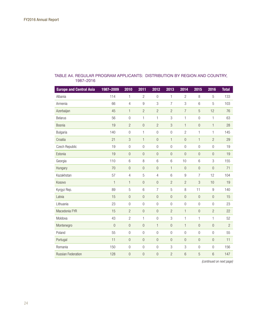| <b>Europe and Central Asia</b> | 1987-2009      | 2010             | 2011             | 2012             | 2013             | 2014             | 2015           | 2016             | <b>Total</b>   |
|--------------------------------|----------------|------------------|------------------|------------------|------------------|------------------|----------------|------------------|----------------|
| Albania                        | 114            | 1                | $\overline{2}$   | $\overline{0}$   | 1                | $\mathbf{2}$     | 8              | 5                | 133            |
| Armenia                        | 66             | 4                | $\boldsymbol{9}$ | 3                | $\overline{7}$   | 3                | 6              | 5                | 103            |
| Azerbaijan                     | 45             | $\mathbf{1}$     | $\overline{c}$   | $\overline{c}$   | $\overline{c}$   | $\overline{7}$   | 5              | 12               | 76             |
| <b>Belarus</b>                 | 56             | $\overline{0}$   | $\mathbf{1}$     | $\mathbf{1}$     | 3                | 1                | $\overline{0}$ | 1                | 63             |
| Bosnia                         | 19             | $\overline{2}$   | $\overline{0}$   | $\overline{2}$   | 3                | $\mathbf{1}$     | $\overline{0}$ | $\mathbf{1}$     | 28             |
| <b>Bulgaria</b>                | 140            | $\overline{0}$   | 1                | $\overline{0}$   | $\overline{0}$   | $\overline{c}$   | 1              | 1                | 145            |
| Croatia                        | 21             | 3                | $\mathbf{1}$     | $\overline{0}$   | $\mathbf{1}$     | $\boldsymbol{0}$ | $\mathbf{1}$   | $\overline{c}$   | 29             |
| Czech Republic                 | 19             | $\overline{0}$   | $\overline{0}$   | $\overline{0}$   | $\overline{0}$   | $\overline{0}$   | $\overline{0}$ | $\overline{0}$   | 19             |
| Estonia                        | 19             | $\theta$         | $\boldsymbol{0}$ | $\theta$         | $\mathbf 0$      | $\boldsymbol{0}$ | $\mathbf{0}$   | $\overline{0}$   | 19             |
| Georgia                        | 110            | 6                | 8                | $6\phantom{1}6$  | 6                | 10               | 6              | 3                | 155            |
| Hungary                        | 70             | $\overline{0}$   | $\boldsymbol{0}$ | $\mathbf{0}$     | $\mathbf{1}$     | $\overline{0}$   | $\mathbf{0}$   | $\overline{0}$   | 71             |
| Kazakhstan                     | 57             | 4                | 5                | $\overline{4}$   | 6                | $9\,$            | $\overline{7}$ | 12               | 104            |
| Kosovo                         | $\mathbf{1}$   | $\mathbf{1}$     | $\boldsymbol{0}$ | $\mathbf 0$      | $\overline{c}$   | $\overline{c}$   | 3              | 10               | 19             |
| Kyrgyz Rep.                    | 89             | 5                | 6                | $\overline{7}$   | 5                | 8                | 11             | $\boldsymbol{9}$ | 140            |
| Latvia                         | 15             | $\overline{0}$   | $\overline{0}$   | $\overline{0}$   | $\overline{0}$   | $\overline{0}$   | $\overline{0}$ | $\theta$         | 15             |
| Lithuania                      | 23             | $\overline{0}$   | $\overline{0}$   | $\overline{0}$   | $\overline{0}$   | $\overline{0}$   | $\overline{0}$ | $\overline{0}$   | 23             |
| Macedonia FYR                  | 15             | $\overline{c}$   | $\boldsymbol{0}$ | $\overline{0}$   | $\overline{2}$   | $\mathbf{1}$     | $\mathbf{0}$   | $\overline{c}$   | 22             |
| Moldova                        | 43             | $\overline{c}$   | 1                | $\overline{0}$   | 3                | 1                | 1              | 1                | 52             |
| Montenegro                     | $\overline{0}$ | $\overline{0}$   | $\overline{0}$   | $\mathbf{1}$     | $\overline{0}$   | $\mathbf{1}$     | $\overline{0}$ | $\overline{0}$   | $\overline{c}$ |
| Poland                         | 55             | $\overline{0}$   | $\boldsymbol{0}$ | $\theta$         | $\boldsymbol{0}$ | $\boldsymbol{0}$ | $\mathbf 0$    | $\overline{0}$   | 55             |
| Portugal                       | 11             | $\overline{0}$   | $\overline{0}$   | $\overline{0}$   | $\overline{0}$   | $\overline{0}$   | $\mathbf{0}$   | $\theta$         | 11             |
| Romania                        | 150            | $\boldsymbol{0}$ | $\boldsymbol{0}$ | $\boldsymbol{0}$ | 3                | 3                | $\mathbf 0$    | $\mathbf{0}$     | 156            |
| <b>Russian Federation</b>      | 128            | $\Omega$         | $\overline{0}$   | $\Omega$         | $\overline{c}$   | 6                | 5              | 6                | 147            |

#### TABLE A4. REGULAR PROGRAM APPLICANTS: DISTRIBUTION BY REGION AND COUNTRY, 1987–2016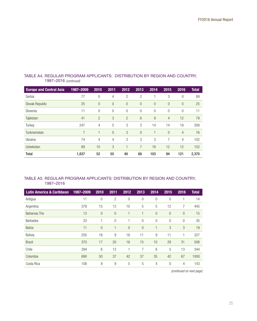| <b>Europe and Central Asia</b> | 1987-2009 | 2010           | 2011           | 2012           | 2013           | 2014           | 2015           | 2016           | <b>Total</b> |
|--------------------------------|-----------|----------------|----------------|----------------|----------------|----------------|----------------|----------------|--------------|
| Serbia                         | 77        | $\Omega$       | 4              | $\overline{2}$ | $\overline{2}$ |                | 3              | $\Omega$       | 89           |
| Slovak Republic                | 25        | $\overline{0}$ | $\overline{0}$ | $\theta$       | $\overline{0}$ | $\overline{0}$ | $\Omega$       | $\Omega$       | 25           |
| Slovenia                       | 11        | $\mathbf{0}$   | 0              | $\theta$       | $\mathbf{0}$   | $\overline{0}$ | 0              | $\Omega$       | 11           |
| Tajikistan                     | 41        | $\overline{2}$ | 3              | $\overline{2}$ | 6              | 9              | $\overline{4}$ | 12             | 79           |
| Turkey                         | 247       | 4              | 5              | 3              | 3              | 14             | 14             | 19             | 309          |
| Turkmenistan                   | 7         | ٠              | $\overline{0}$ | 3              | $\Omega$       |                | $\Omega$       | $\overline{4}$ | 16           |
| Ukraine                        | 74        | 4              | 4              | 3              | 3              | 3              | 7              | $\overline{4}$ | 102          |
| <b>Uzbekistan</b>              | 89        | 10             | 3              | 1              | 7              | 18             | 12             | 12             | 152          |
| Total                          | 1,837     | 52             | 55             | 40             | 68             | 103            | 94             | 121            | 2,370        |

## TABLE A4. REGULAR PROGRAM APPLICANTS: DISTRIBUTION BY REGION AND COUNTRY, 1987–2016 *(continued)*

## TABLE A5. REGULAR PROGRAM APPLICANTS: DISTRIBUTION BY REGION AND COUNTRY, 1987–2016

| <b>Latin America &amp; Caribbean</b> | 1987-2009 | 2010           | 2011           | 2012           | 2013           | 2014         | 2015           | 2016           | <b>Total</b> |
|--------------------------------------|-----------|----------------|----------------|----------------|----------------|--------------|----------------|----------------|--------------|
| Antigua                              | 11        | $\overline{0}$ | 2              | $\overline{0}$ | $\overline{0}$ | $\theta$     | $\overline{0}$ |                | 14           |
| Argentina                            | 378       | 15             | 13             | 10             | 5              | 5            | 12             | 7              | 445          |
| <b>Bahamas</b> The                   | 13        | $\overline{0}$ | $\mathbf{0}$   | 1              |                | $\theta$     | $\overline{0}$ | $\overline{0}$ | 15           |
| <b>Barbados</b>                      | 33        |                | $\overline{0}$ |                | $\overline{0}$ | $\mathbf{0}$ | $\overline{0}$ | $\mathbf{0}$   | 35           |
| <b>Belize</b>                        | 11        | $\overline{0}$ |                | $\overline{0}$ | $\overline{0}$ | 1            | 3              | 3              | 19           |
| Bolivia                              | 250       | 18             | 9              | 18             | 11             | 9            | 11             | 1              | 327          |
| <b>Brazil</b>                        | 370       | 17             | 20             | 16             | 15             | 10           | 29             | 31             | 508          |
| Chile                                | 294       | 6              | 12             | 1              | 7              | 6            | 5              | 13             | 344          |
| Colombia                             | 690       | 50             | 37             | 42             | 37             | 35           | 42             | 67             | 1000         |
| Costa Rica                           | 108       | 8              | 9              | 5              | 5              | 4            | $\mathbf{0}$   | 4              | 143          |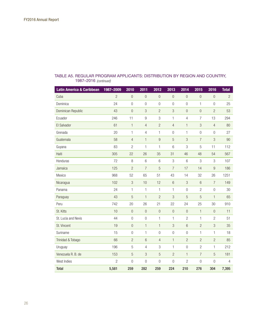| <b>Latin America &amp; Caribbean</b> | 1987-2009      | 2010             | 2011             | 2012             | 2013             | 2014             | 2015           | 2016             | <b>Total</b>   |
|--------------------------------------|----------------|------------------|------------------|------------------|------------------|------------------|----------------|------------------|----------------|
| Cuba                                 | $\overline{2}$ | $\boldsymbol{0}$ | $\boldsymbol{0}$ | $\boldsymbol{0}$ | $\boldsymbol{0}$ | $\overline{0}$   | $\overline{0}$ | $\overline{0}$   | $\overline{c}$ |
| Dominica                             | 24             | $\boldsymbol{0}$ | $\boldsymbol{0}$ | $\boldsymbol{0}$ | $\boldsymbol{0}$ | $\mathbf 0$      | 1              | $\overline{0}$   | 25             |
| Dominican Republic                   | 43             | $\overline{0}$   | $\mathfrak{B}$   | $\overline{2}$   | 3                | $\overline{0}$   | $\overline{0}$ | $\overline{2}$   | 53             |
| Ecuador                              | 246            | 11               | $\boldsymbol{9}$ | 3                | 1                | 4                | $\overline{7}$ | 13               | 294            |
| El Salvador                          | 61             | $\mathbf{1}$     | $\overline{4}$   | $\overline{c}$   | $\overline{4}$   | $\mathbf{1}$     | $\mathfrak{B}$ | $\overline{4}$   | 80             |
| Grenada                              | 20             | 1                | $\overline{4}$   | $\mathbf{1}$     | $\overline{0}$   | 1                | $\overline{0}$ | $\overline{0}$   | 27             |
| Guatemala                            | 58             | $\overline{4}$   | $\mathbf{1}$     | $\boldsymbol{9}$ | 5                | 3                | $\overline{7}$ | 3                | 90             |
| Guyana                               | 83             | $\mathbf{2}$     | 1                | 1                | 6                | 3                | 5              | 11               | 112            |
| Haiti                                | 305            | 22               | 26               | 35               | 31               | 46               | 48             | 54               | 567            |
| Honduras                             | 72             | 8                | 6                | 6                | 3                | 6                | 3              | 3                | 107            |
| Jamaica                              | 125            | $\overline{c}$   | $\overline{7}$   | $\mathbf 5$      | $\overline{7}$   | 17               | 14             | $9\,$            | 186            |
| Mexico                               | 968            | 52               | 65               | 51               | 43               | 14               | 32             | 26               | 1251           |
| Nicaragua                            | 102            | 3                | 10               | 12               | $6\phantom{1}$   | 3                | $6\phantom{1}$ | $\overline{7}$   | 149            |
| Panama                               | 24             | 1                | 1                | 1                | $\mathbf{1}$     | $\boldsymbol{0}$ | $\overline{c}$ | $\boldsymbol{0}$ | 30             |
| Paraguay                             | 43             | $\mathbf 5$      | $\mathbf{1}$     | $\overline{c}$   | 3                | 5                | 5              | $\mathbf{1}$     | 65             |
| Peru                                 | 742            | 20               | 26               | 21               | 22               | 24               | 25             | 30               | 910            |
| St. Kitts                            | 10             | $\theta$         | $\mathbf 0$      | $\boldsymbol{0}$ | $\boldsymbol{0}$ | $\theta$         | 1              | $\theta$         | 11             |
| St. Lucia and Nevis                  | 44             | $\mathbf 0$      | $\boldsymbol{0}$ | 1                | $\mathbf{1}$     | $\overline{c}$   | $\mathbf{1}$   | $\overline{c}$   | 51             |
| St. Vincent                          | 19             | $\overline{0}$   | $\mathbf{1}$     | $\mathbf{1}$     | 3                | $6\phantom{.}6$  | $\overline{c}$ | $\mathfrak{B}$   | 35             |
| Suriname                             | 15             | $\theta$         | 1                | $\boldsymbol{0}$ | $\overline{0}$   | $\overline{0}$   | 1              | 1                | 18             |
| Trinidad & Tobago                    | 66             | $\overline{c}$   | $\,$ 6 $\,$      | $\overline{4}$   | $\mathbf{1}$     | $\overline{c}$   | $\overline{c}$ | $\overline{c}$   | 85             |
| Uruguay                              | 196            | 5                | $\overline{4}$   | 3                | 1                | $\overline{0}$   | $\overline{c}$ | 1                | 212            |
| Venezuela R. B. de                   | 153            | 5                | $\mathcal{S}$    | 5                | $\overline{2}$   | $\mathbf{1}$     | $\overline{7}$ | 5                | 181            |
| West Indies                          | $\overline{c}$ | $\boldsymbol{0}$ | $\boldsymbol{0}$ | $\boldsymbol{0}$ | $\overline{0}$   | $\mathbf{2}$     | $\mathbf 0$    | $\overline{0}$   | $\overline{4}$ |
| <b>Total</b>                         | 5,581          | 259              | 282              | 259              | 224              | 210              | 276            | 304              | 7,395          |

## *(continued)* 1987–2016 TABLE A5. REGULAR PROGRAM APPLICANTS: DISTRIBUTION BY REGION AND COUNTRY,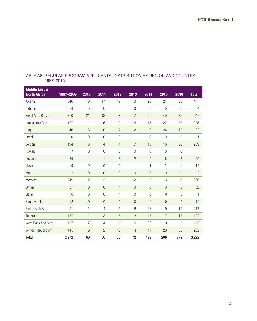## TABLE A6. REGULAR PROGRAM APPLICANTS: DISTRIBUTION BY REGION AND COUNTRY, 1987–2016

| <b>Middle East &amp;</b><br><b>North Africa</b> | 1987-2009        | 2010                      | 2011           | 2012             | 2013           | 2014           | 2015            | 2016           | <b>Total</b>   |
|-------------------------------------------------|------------------|---------------------------|----------------|------------------|----------------|----------------|-----------------|----------------|----------------|
| Algeria                                         | 346              | 10                        | 17             | 19               | 13             | 28             | 21              | 23             | 477            |
| Bahrain                                         | $\overline{4}$   | $\overline{0}$            | $\overline{0}$ | $\overline{0}$   | $\overline{0}$ | $\overline{0}$ | $\overline{0}$  | $\overline{0}$ | $\overline{4}$ |
| Egypt Arab Rep. of                              | 710              | 21                        | 12             | 8                | 17             | 45             | 49              | 85             | 947            |
| Iran Islamic Rep. of                            | 177              | 11                        | $6\,$          | 12               | 14             | 15             | 27              | 33             | 295            |
| Iraq                                            | 46               | 3                         | $\overline{0}$ | $\overline{2}$   | $\overline{2}$ | 3              | 24              | 12             | 92             |
| <b>Israel</b>                                   | $\overline{0}$   | $\overline{0}$            | $\overline{0}$ | 0                | 1              | $\overline{0}$ | $\overline{0}$  | $\overline{0}$ | $\mathbf{1}$   |
| Jordan                                          | 194              | $\ensuremath{\mathsf{3}}$ | $\overline{4}$ | $\overline{4}$   | $\overline{7}$ | 15             | 16              | 26             | 269            |
| Kuwait                                          | $\overline{7}$   | $\overline{0}$            | 0              | 0                | $\overline{0}$ | 0              | $\overline{0}$  | $\overline{0}$ | $\overline{7}$ |
| Lebanon                                         | 35               | $\mathbf{1}$              | $\mathbf{1}$   | 3                | $\overline{2}$ | 5              | $6\overline{6}$ | $\overline{2}$ | 55             |
| Libya                                           | $\boldsymbol{9}$ | 0                         | $\theta$       | 0                | 1              | $\mathbf{1}$   | $\overline{2}$  | $\mathbf{1}$   | 14             |
| Malta                                           | $\overline{2}$   | $\mathbf 0$               | $\overline{0}$ | $\boldsymbol{0}$ | $\theta$       | $\overline{0}$ | $\overline{0}$  | $\overline{0}$ | $\overline{2}$ |
| Morocco                                         | 249              | $\overline{c}$            | $\overline{2}$ | 1                | $\overline{2}$ | 5              | 3               | 6              | 270            |
| Oman                                            | 31               | $\overline{0}$            | $\overline{0}$ | $\mathbf{1}$     | $\overline{0}$ | $\overline{0}$ | $\overline{0}$  | $\overline{0}$ | 32             |
| Qatar                                           | $\overline{0}$   | $\overline{0}$            | $\overline{0}$ | 1                | $\overline{0}$ | $\overline{0}$ | $\overline{0}$  | $\overline{0}$ | 1              |
| Saudi Arabia                                    | 12               | $\overline{0}$            | $\overline{0}$ | $\overline{0}$   | $\overline{0}$ | $\overline{0}$ | $\overline{0}$  | $\overline{0}$ | 12             |
| Syrian Arab Rep.                                | 51               | $\overline{c}$            | 4              | $\overline{c}$   | 6              | 18             | 19              | 15             | 117            |
| Tunisia                                         | 137              | $\mathbf{1}$              | 8              | 6                | 3              | 17             | $\overline{7}$  | 13             | 192            |
| West Bank and Gaza                              | 117              | 7                         | 4              | 6                | $\overline{0}$ | 30             | 9               | $\overline{0}$ | 173            |
| Yemen Republic of                               | 145              | 5                         | $\overline{c}$ | 10               | 4              | 17             | 23              | 56             | 262            |
| <b>Total</b>                                    | 2,272            | 66                        | 60             | 75               | 72             | 199            | 206             | 272            | 3,222          |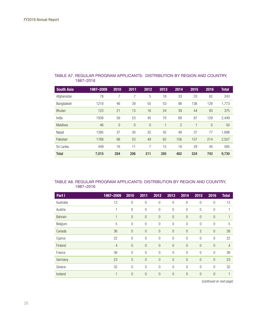| <b>South Asia</b> | 1987-2009 | 2010           | 2011           | 2012           | 2013 | 2014           | 2015 | 2016           | <b>Total</b> |
|-------------------|-----------|----------------|----------------|----------------|------|----------------|------|----------------|--------------|
| Afghanistan       | 78        | 7              | 7              | 5              | 18   | 33             | 33   | 62             | 243          |
| Bangladesh        | 1218      | 46             | 39             | 55             | 53   | 98             | 136  | 128            | 1,773        |
| <b>Bhutan</b>     | 123       | 21             | 13             | 18             | 24   | 39             | 44   | 93             | 375          |
| India             | 1938      | 59             | 53             | 45             | 70   | 68             | 87   | 129            | 2,449        |
| <b>Maldives</b>   | 46        | $\overline{0}$ | $\overline{0}$ | $\overline{0}$ | ۹    | $\overline{2}$ |      | $\overline{0}$ | 50           |
| Nepal             | 1395      | 37             | 30             | 32             | 42   | 48             | 37   | 77             | 1,698        |
| Pakistan          | 1768      | 98             | 53             | 49             | 62   | 156            | 157  | 214            | 2,557        |
| Sri Lanka         | 449       | 16             | 11             | 7              | 15   | 18             | 29   | 40             | 585          |
| <b>Total</b>      | 7,015     | 284            | 206            | 211            | 285  | 462            | 524  | 743            | 9,730        |

#### TABLE A7. REGULAR PROGRAM APPLICANTS: DISTRIBUTION BY REGION AND COUNTRY, 1987–2016

#### TABLE A8. REGULAR PROGRAM APPLICANTS: DISTRIBUTION BY REGION AND COUNTRY, 1987–2016

| Part I    | 1987-2009      | 2010           | 2011           | 2012           | 2013             | 2014           | 2015           | 2016           | <b>Total</b>   |
|-----------|----------------|----------------|----------------|----------------|------------------|----------------|----------------|----------------|----------------|
| Australia | 13             | $\theta$       | 0              | $\mathbf 0$    | $\theta$         | $\overline{0}$ | $\theta$       | 0              | 13             |
| Austria   | 1              | $\mathbf 0$    | 0              | $\mathbf 0$    | $\boldsymbol{0}$ | $\mathbf 0$    | 0              | $\theta$       |                |
| Bahrain   | 1              | $\theta$       | $\overline{0}$ | $\theta$       | $\overline{0}$   | $\overline{0}$ | $\overline{0}$ | $\overline{0}$ |                |
| Belgium   | 5              | $\overline{0}$ | 0              | $\mathbf{0}$   | $\overline{0}$   | $\overline{0}$ | $\overline{0}$ | 0              | 5              |
| Canada    | 36             | $\mathbf{0}$   | $\overline{0}$ | $\overline{0}$ | $\overline{0}$   | $\overline{0}$ | $\overline{2}$ | $\overline{0}$ | 38             |
| Cyprus    | 22             | $\overline{0}$ | 0              | $\mathbf{0}$   | $\overline{0}$   | $\overline{0}$ | $\overline{0}$ | $\overline{0}$ | 22             |
| Finland   | $\overline{4}$ | $\mathbf{0}$   | $\mathbf 0$    | $\theta$       | $\theta$         | $\overline{0}$ | $\overline{0}$ | $\overline{0}$ | $\overline{4}$ |
| France    | 36             | $\overline{0}$ | $\mathbf 0$    | $\overline{0}$ | $\overline{0}$   | $\overline{0}$ | $\overline{0}$ | $\overline{0}$ | 36             |
| Germany   | 23             | $\theta$       | $\mathbf 0$    | $\theta$       | $\bf 0$          | $\mathbf{0}$   | $\overline{0}$ | $\mathbf 0$    | 23             |
| Greece    | 32             | $\overline{0}$ | $\overline{0}$ | $\overline{0}$ | $\overline{0}$   | $\overline{0}$ | $\overline{0}$ | $\overline{0}$ | 32             |
| Iceland   | 1              | $\mathbf 0$    | $\mathbf 0$    | $\overline{0}$ | $\overline{0}$   | $\mathbf{0}$   | $\mathbf{0}$   | $\mathbf 0$    |                |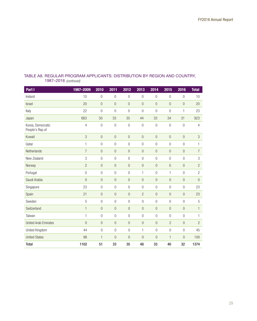| Part I                               | 1987-2009        | 2010             | 2011             | 2012             | 2013             | 2014             | 2015             | 2016             | <b>Total</b>              |
|--------------------------------------|------------------|------------------|------------------|------------------|------------------|------------------|------------------|------------------|---------------------------|
| Ireland                              | 10               | $\overline{0}$   | $\overline{0}$   | $\overline{0}$   | $\overline{0}$   | $\overline{0}$   | $\overline{0}$   | $\overline{0}$   | 10                        |
| Israel                               | 20               | $\overline{0}$   | $\overline{0}$   | $\overline{0}$   | $\boldsymbol{0}$ | $\overline{0}$   | $\overline{0}$   | $\overline{0}$   | 20                        |
| Italy                                | 22               | $\boldsymbol{0}$ | $\overline{0}$   | $\boldsymbol{0}$ | $\boldsymbol{0}$ | $\overline{0}$   | $\overline{0}$   | 1                | 23                        |
| Japan                                | 663              | 50               | 33               | 35               | 44               | 33               | 34               | 31               | 923                       |
| Korea, Democratic<br>People's Rep.of | 4                | $\overline{0}$   | $\mathbf 0$      | $\boldsymbol{0}$ | $\boldsymbol{0}$ | $\boldsymbol{0}$ | $\boldsymbol{0}$ | $\boldsymbol{0}$ | $\overline{4}$            |
| Kuwait                               | 3                | $\boldsymbol{0}$ | $\mathbf 0$      | $\mathbf 0$      | $\boldsymbol{0}$ | $\bf 0$          | $\mathbf 0$      | $\mathbf 0$      | $\ensuremath{\mathsf{3}}$ |
| Qatar                                | 1                | $\overline{0}$   | $\overline{0}$   | $\overline{0}$   | $\overline{0}$   | $\overline{0}$   | $\overline{0}$   | $\overline{0}$   | $\mathbf{1}$              |
| Netherlands                          | $\overline{7}$   | $\boldsymbol{0}$ | $\boldsymbol{0}$ | $\boldsymbol{0}$ | $\boldsymbol{0}$ | $\bf 0$          | $\mathbf 0$      | $\overline{0}$   | $\overline{7}$            |
| New Zealand                          | 3                | $\boldsymbol{0}$ | $\overline{0}$   | $\overline{0}$   | $\boldsymbol{0}$ | $\boldsymbol{0}$ | $\overline{0}$   | $\overline{0}$   | $\mathfrak{Z}$            |
| Norway                               | $\overline{2}$   | $\overline{0}$   | $\theta$         | $\mathbf 0$      | $\mathbf 0$      | $\mathbf{0}$     | $\overline{0}$   | $\overline{0}$   | $\overline{c}$            |
| Portugal                             | $\boldsymbol{0}$ | $\mathbf 0$      | $\overline{0}$   | $\overline{0}$   | $\mathbf{1}$     | $\overline{0}$   | 1                | $\overline{0}$   | $\overline{c}$            |
| Saudi Arabia                         | $\overline{0}$   | $\overline{0}$   | $\overline{0}$   | $\overline{0}$   | $\overline{0}$   | $\overline{0}$   | $\overline{0}$   | $\overline{0}$   | $\overline{0}$            |
| Singapore                            | 23               | $\overline{0}$   | $\boldsymbol{0}$ | $\boldsymbol{0}$ | $\boldsymbol{0}$ | $\boldsymbol{0}$ | $\mathbf 0$      | $\overline{0}$   | 23                        |
| Spain                                | 21               | $\overline{0}$   | $\overline{0}$   | $\theta$         | $\overline{c}$   | $\overline{0}$   | $\overline{0}$   | $\overline{0}$   | 23                        |
| Sweden                               | 5                | $\overline{0}$   | $\mathbf 0$      | $\mathbf 0$      | $\mathbf 0$      | $\theta$         | $\overline{0}$   | $\overline{0}$   | 5                         |
| Switzerland                          | $\mathbf{1}$     | $\overline{0}$   | $\overline{0}$   | $\boldsymbol{0}$ | $\overline{0}$   | $\mathbf 0$      | $\overline{0}$   | $\overline{0}$   | $\mathbf{1}$              |
| Taiwan                               | $\mathbf{1}$     | $\overline{0}$   | $\overline{0}$   | $\overline{0}$   | $\boldsymbol{0}$ | $\overline{0}$   | $\overline{0}$   | $\overline{0}$   | $\mathbf{1}$              |
| <b>United Arab Emirates</b>          | $\mathbf 0$      | $\overline{0}$   | $\theta$         | $\theta$         | $\overline{0}$   | $\bf 0$          | $\overline{c}$   | $\overline{0}$   | $\overline{c}$            |
| United Kingdom                       | 44               | $\boldsymbol{0}$ | $\overline{0}$   | $\overline{0}$   | 1                | $\overline{0}$   | $\boldsymbol{0}$ | $\overline{0}$   | 45                        |
| <b>United States</b>                 | 98               | $\mathbf{1}$     | $\theta$         | $\theta$         | $\mathbf 0$      | $\overline{0}$   | $\mathbf{1}$     | $\overline{0}$   | 100                       |
| <b>Total</b>                         | 1102             | 51               | 33               | 35               | 48               | 33               | 40               | 32               | 1374                      |

## *(continued)* 1987–2016 TABLE A8. REGULAR PROGRAM APPLICANTS: DISTRIBUTION BY REGION AND COUNTRY,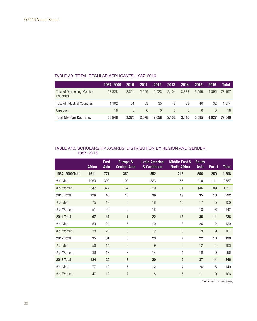## TABLE A9. TOTAL REGULAR APPLICANTS, 1987–2016

|                                                | 1987-2009 | 2010     | 2011             | 2012     | 2013             | 2014     | 2015             | 2016  | Total  |
|------------------------------------------------|-----------|----------|------------------|----------|------------------|----------|------------------|-------|--------|
| <b>Total of Developing Member</b><br>Countries | 57.828    | 2.324    | 2.045            | 2.023    | 2.104            | 3.383    | 3.555            | 4.895 | 78.157 |
| Total of Industrial Countries                  | 1.102     | -51      | 33               | 35       | 48               | 33       | 40               | 32    | 1.374  |
| Unknown                                        | 18        | $\Omega$ | $\left( \right)$ | $\Omega$ | $\left( \right)$ | $\Omega$ | $\left( \right)$ |       | 18     |
| <b>Total Member Countries</b>                  | 58.948    | 2.375    | 2.078            | 2.058    | 2,152            | 3.416    | 3.595            | 4.927 | 79.549 |

#### TABLE A10. SCHOLARSHIP AWARDS: DISTRIBUTION BY REGION AND GENDER, 1987–2016

|                 | <b>Africa</b> | <b>East</b><br>Asia | Europe &<br><b>Central Asia</b> | <b>Latin America</b><br>& Caribbean | <b>Middle East &amp;</b><br><b>North Africa</b> | <b>South</b><br><b>Asia</b> | Part 1         | <b>Total</b> |
|-----------------|---------------|---------------------|---------------------------------|-------------------------------------|-------------------------------------------------|-----------------------------|----------------|--------------|
| 1987-2009 Total | 1611          | 771                 | 352                             | 552                                 | 216                                             | 556                         | 250            | 4,308        |
| # of Men        | 1069          | 399                 | 190                             | 323                                 | 155                                             | 410                         | 141            | 2687         |
| # of Women      | 542           | 372                 | 162                             | 229                                 | 61                                              | 146                         | 109            | 1621         |
| 2010 Total      | 126           | 48                  | 15                              | 36                                  | 19                                              | 35                          | 13             | 292          |
| # of Men        | 75            | 19                  | $6\phantom{1}6$                 | 18                                  | 10                                              | 17                          | 5              | 150          |
| # of Women      | 51            | 29                  | 9                               | 18                                  | 9                                               | 18                          | 8              | 142          |
| 2011 Total      | 97            | 47                  | 11                              | 22                                  | 13                                              | 35                          | 11             | 236          |
| # of Men        | 59            | 24                  | 5                               | 10                                  | 3                                               | 26                          | $\overline{2}$ | 129          |
| # of Women      | 38            | 23                  | $6\phantom{1}6$                 | 12                                  | 10                                              | $9\,$                       | 9              | 107          |
| 2012 Total      | 95            | 31                  | 8                               | 23                                  | $\overline{7}$                                  | 22                          | 13             | 199          |
| # of Men        | 56            | 14                  | 5                               | $9\,$                               | 3                                               | 12                          | $\overline{4}$ | 103          |
| # of Women      | 39            | 17                  | 3                               | 14                                  | 4                                               | 10                          | 9              | 96           |
| 2013 Total      | 124           | 29                  | 13                              | 20                                  | $\boldsymbol{9}$                                | 37                          | 14             | 246          |
| # of Men        | 77            | 10                  | 6                               | 12                                  | 4                                               | 26                          | 5              | 140          |
| # of Women      | 47            | 19                  | $\overline{7}$                  | 8                                   | 5                                               | 11                          | 9              | 106          |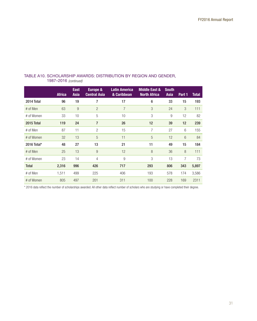|              | <b>Africa</b> | <b>East</b><br>Asia | Europe &<br><b>Central Asia</b> | <b>Latin America</b><br>& Caribbean | <b>Middle East &amp;</b><br><b>North Africa</b> | <b>South</b><br><b>Asia</b> | Part 1 | <b>Total</b> |
|--------------|---------------|---------------------|---------------------------------|-------------------------------------|-------------------------------------------------|-----------------------------|--------|--------------|
| 2014 Total   | 96            | 19                  | 7                               | 17                                  | 6                                               | 33                          | 15     | 193          |
| # of Men     | 63            | 9                   | $\overline{2}$                  | $\overline{7}$                      | 3                                               | 24                          | 3      | 111          |
| # of Women   | 33            | 10                  | 5                               | 10                                  | 3                                               | 9                           | 12     | 82           |
| 2015 Total   | 119           | 24                  | $\overline{7}$                  | 26                                  | 12                                              | 39                          | 12     | 239          |
| # of Men     | 87            | 11                  | $\overline{2}$                  | 15                                  | 7                                               | 27                          | 6      | 155          |
| # of Women   | 32            | 13                  | 5                               | 11                                  | 5                                               | 12                          | 6      | 84           |
| 2016 Total*  | 48            | 27                  | 13                              | 21                                  | 11                                              | 49                          | 15     | 184          |
| # of Men     | 25            | 13                  | 9                               | 12                                  | 8                                               | 36                          | 8      | 111          |
| # of Women   | 23            | 14                  | 4                               | 9                                   | 3                                               | 13                          | 7      | 73           |
| <b>Total</b> | 2,316         | 996                 | 426                             | 717                                 | 293                                             | 806                         | 343    | 5,897        |
| # of Men     | 1,511         | 499                 | 225                             | 406                                 | 193                                             | 578                         | 174    | 3,586        |
| # of Women   | 805           | 497                 | 201                             | 311                                 | 100                                             | 228                         | 169    | 2311         |

## TABLE A10. SCHOLARSHIP AWARDS: DISTRIBUTION BY REGION AND GENDER, 1987–2016 *(continued)*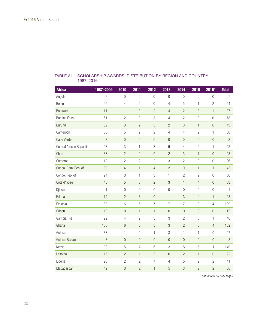| <b>Africa</b>            | 1987-2009 | 2010                      | 2011                      | 2012                      | 2013                      | 2014                      | 2015                      | 2016*            | <b>Total</b>              |
|--------------------------|-----------|---------------------------|---------------------------|---------------------------|---------------------------|---------------------------|---------------------------|------------------|---------------------------|
| Angola                   | 7         | $\overline{0}$            | $\overline{0}$            | $\overline{0}$            | $\overline{0}$            | $\overline{0}$            | $\overline{0}$            | $\overline{0}$   | $\overline{7}$            |
| Benin                    | 46        | $\overline{4}$            | $\mathbf{2}$              | $\boldsymbol{0}$          | $\overline{4}$            | 5                         | 1                         | $\mathbf{2}$     | 64                        |
| Botswana                 | 11        | $\mathbf{1}$              | 3                         | $\overline{c}$            | $\overline{4}$            | $\overline{c}$            | $\ensuremath{\mathsf{3}}$ | $\mathbf{1}$     | 27                        |
| <b>Burkina Faso</b>      | 61        | $\overline{c}$            | 3                         | $\,$ 3 $\,$               | $\overline{4}$            | $\overline{c}$            | 3                         | $\overline{0}$   | 78                        |
| Burundi                  | 32        | 3                         | $\overline{2}$            | 3                         | $\overline{2}$            | $\overline{0}$            | $\mathbf{1}$              | $\overline{0}$   | 43                        |
| Cameroon                 | 60        | 5                         | $\overline{c}$            | $\overline{c}$            | $\overline{4}$            | $\overline{4}$            | $\overline{c}$            | 1                | 80                        |
| Cape Verde               | 3         | $\boldsymbol{0}$          | $\mathbf 0$               | $\mathbf 0$               | $\mathbf 0$               | $\boldsymbol{0}$          | $\boldsymbol{0}$          | $\bf 0$          | $\ensuremath{\mathsf{3}}$ |
| Central African Republic | 28        | 3                         | $\mathbf{1}$              | 3                         | $6\,$                     | $\overline{4}$            | 6                         | 1                | 52                        |
| Chad                     | 33        | $\overline{c}$            | $\overline{2}$            | $\boldsymbol{0}$          | $\overline{c}$            | $\ensuremath{\mathsf{3}}$ | $\mathbf{1}$              | $\bf 0$          | 43                        |
| Comoros                  | 12        | $\overline{2}$            | $\overline{c}$            | $\overline{2}$            | 3                         | $\overline{2}$            | 3                         | $\overline{0}$   | 26                        |
| Congo, Dem. Rep. of      | 30        | $\overline{4}$            | $\mathbf{1}$              | $\overline{4}$            | $\overline{c}$            | $\boldsymbol{0}$          | $\mathbf{1}$              | $\mathbf{1}$     | 43                        |
| Congo, Rep. of           | 24        | $\ensuremath{\mathsf{3}}$ | $\mathbf{1}$              | 3                         | 1                         | $\overline{c}$            | $\overline{c}$            | $\boldsymbol{0}$ | 36                        |
| Côte d'Ivoire            | 45        | 5                         | 3                         | $\overline{c}$            | 3                         | $\mathbf{1}$              | $\overline{4}$            | $\overline{0}$   | 63                        |
| Djibouti                 | 1         | $\overline{0}$            | $\overline{0}$            | $\boldsymbol{0}$          | $\overline{0}$            | $\overline{0}$            | $\mathbf 0$               | $\mathbf 0$      | $\mathbf{1}$              |
| Eritrea                  | 14        | $\overline{c}$            | $\ensuremath{\mathsf{3}}$ | $\boldsymbol{0}$          | $\mathbf{1}$              | $\ensuremath{\mathsf{3}}$ | $\overline{4}$            | $\mathbf{1}$     | 28                        |
| Ethiopia                 | 89        | $6\,$                     | $6\phantom{.}6$           | $\overline{7}$            | $\overline{7}$            | $\overline{7}$            | 3                         | 4                | 129                       |
| Gabon                    | 10        | $\overline{0}$            | $\mathbf{1}$              | $\mathbf{1}$              | $\overline{0}$            | $\overline{0}$            | $\boldsymbol{0}$          | $\overline{0}$   | 12                        |
| Gambia The               | 22        | $\overline{4}$            | $\overline{2}$            | 3                         | 3                         | $\overline{2}$            | 3                         | 1                | 40                        |
| Ghana                    | 103       | $6\phantom{.}6$           | $6\phantom{1}6$           | $\ensuremath{\mathsf{3}}$ | $\ensuremath{\mathsf{3}}$ | $\overline{c}$            | 5                         | $\overline{4}$   | 132                       |
| Guinea                   | 38        | $\mathbf{1}$              | $\overline{c}$            | $\mathbf{1}$              | 3                         | 1                         | 1                         | $\overline{0}$   | 47                        |
| Guinea-Bissau            | 3         | $\overline{0}$            | $\boldsymbol{0}$          | $\mathbf 0$               | $\boldsymbol{0}$          | $\boldsymbol{0}$          | $\boldsymbol{0}$          | $\bf 0$          | $\ensuremath{\mathsf{3}}$ |
| Kenya                    | 108       | 5                         | $\overline{7}$            | 6                         | 3                         | 5                         | 5                         | 1                | 140                       |
| Lesotho                  | 15        | $\overline{c}$            | $\mathbf{1}$              | $\overline{2}$            | $\theta$                  | $\overline{2}$            | $\mathbf{1}$              | $\theta$         | 23                        |
| Liberia                  | 20        | $\overline{c}$            | $\overline{c}$            | $\overline{4}$            | 4                         | $\mathbf 5$               | $\overline{c}$            | $\overline{c}$   | 41                        |
| Madagascar               | 42        | 3                         | $\overline{2}$            | $\mathbf{1}$              | 5                         | 3                         | $\overline{c}$            | $\overline{2}$   | 60                        |

## TABLE A11. SCHOLARSHIP AWARDS: DISTRIBUTION BY REGION AND COUNTRY, 1987–2016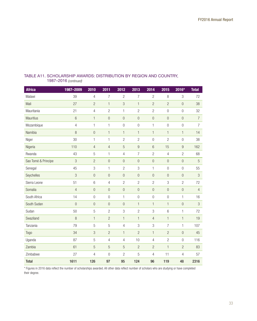| <b>Africa</b>       | 1987-2009      | 2010             | 2011             | 2012             | 2013             | 2014                      | 2015            | 2016*            | <b>Total</b>   |
|---------------------|----------------|------------------|------------------|------------------|------------------|---------------------------|-----------------|------------------|----------------|
| Malawi              | 39             | $\overline{4}$   | $\overline{7}$   | $\overline{c}$   | $\overline{7}$   | $\overline{c}$            | 8               | 3                | 72             |
| Mali                | 27             | $\overline{c}$   | $\mathbf{1}$     | $\mathfrak{B}$   | $\mathbf{1}$     | $\overline{c}$            | $\overline{c}$  | $\overline{0}$   | 38             |
| Mauritania          | 21             | $\overline{4}$   | $\overline{c}$   | $\mathbf{1}$     | $\overline{c}$   | $\overline{2}$            | $\overline{0}$  | $\theta$         | 32             |
| Mauritius           | $6\,$          | $\mathbf{1}$     | $\boldsymbol{0}$ | $\boldsymbol{0}$ | $\boldsymbol{0}$ | $\mathbf{0}$              | $\bf 0$         | $\overline{0}$   | $\overline{7}$ |
| Mozambique          | $\overline{4}$ | $\mathbf{1}$     | $\mathbf{1}$     | $\boldsymbol{0}$ | $\boldsymbol{0}$ | 1                         | $\overline{0}$  | $\mathbf 0$      | $\overline{7}$ |
| Namibia             | 8              | $\overline{0}$   | $\mathbf{1}$     | $\mathbf{1}$     | $\mathbf{1}$     | $\mathbf{1}$              | $\mathbf{1}$    | $\mathbf{1}$     | 14             |
| Niger               | 30             | $\mathbf{1}$     | $\mathbf{1}$     | $\overline{c}$   | $\overline{c}$   | $\overline{0}$            | $\overline{2}$  | $\overline{0}$   | 38             |
| Nigeria             | 110            | $\overline{4}$   | $\overline{4}$   | $\mathbf 5$      | $\boldsymbol{9}$ | $6\,$                     | 15              | $\boldsymbol{9}$ | 162            |
| Rwanda              | 43             | 5                | $\mathbf{1}$     | $\overline{4}$   | $\overline{7}$   | $\overline{2}$            | $\overline{4}$  | $\overline{c}$   | 68             |
| Sao Tomé & Principe | 3              | $\overline{c}$   | $\overline{0}$   | $\mathbf 0$      | $\boldsymbol{0}$ | $\overline{0}$            | $\overline{0}$  | $\overline{0}$   | 5              |
| Senegal             | 45             | 3                | $\mathbf{1}$     | $\overline{c}$   | 3                | $\mathbf{1}$              | $\overline{0}$  | $\overline{0}$   | 55             |
| Seychelles          | 3              | $\overline{0}$   | $\overline{0}$   | $\overline{0}$   | $\overline{0}$   | $\overline{0}$            | $\overline{0}$  | $\overline{0}$   | $\sqrt{3}$     |
| Sierra Leone        | 51             | $6\phantom{1}6$  | $\overline{4}$   | $\overline{c}$   | $\overline{c}$   | $\overline{c}$            | 3               | $\overline{2}$   | 72             |
| Somalia             | $\overline{4}$ | $\overline{0}$   | $\overline{0}$   | $\boldsymbol{0}$ | $\boldsymbol{0}$ | $\overline{0}$            | $\overline{0}$  | $\overline{0}$   | $\overline{4}$ |
| South Africa        | 14             | $\boldsymbol{0}$ | $\overline{0}$   | $\mathbf{1}$     | $\boldsymbol{0}$ | $\boldsymbol{0}$          | $\mathbf 0$     | 1                | 16             |
| South Sudan         | $\overline{0}$ | $\overline{0}$   | $\overline{0}$   | $\overline{0}$   | $\mathbf{1}$     | $\mathbf{1}$              | $\mathbf{1}$    | $\overline{0}$   | $\sqrt{3}$     |
| Sudan               | 50             | 5                | $\overline{c}$   | $\,$ 3 $\,$      | $\overline{c}$   | $\ensuremath{\mathsf{3}}$ | $6\phantom{1}6$ | 1                | 72             |
| Swaziland           | 8              | $\mathbf{1}$     | $\overline{c}$   | $\mathbf{1}$     | $\mathbf{1}$     | $\overline{4}$            | $\mathbf{1}$    | $\mathbf{1}$     | 19             |
| Tanzania            | 79             | 5                | 5                | $\overline{4}$   | 3                | 3                         | 7               | 1                | 107            |
| Togo                | 34             | 3                | $\overline{c}$   | $\mathbf{1}$     | $\overline{c}$   | $\mathbf{1}$              | $\overline{c}$  | $\overline{0}$   | 45             |
| Uganda              | 87             | 5                | $\overline{4}$   | $\overline{4}$   | 10               | 4                         | $\overline{c}$  | $\overline{0}$   | 116            |
| Zambia              | 61             | 5                | 5                | 5                | $\overline{c}$   | $\overline{c}$            | 1               | $\overline{c}$   | 83             |
| Zimbabwe            | 27             | $\overline{4}$   | $\boldsymbol{0}$ | $\mathbf{2}$     | 5                | $\overline{4}$            | 11              | $\overline{4}$   | 57             |
| <b>Total</b>        | 1611           | 126              | 97               | 95               | 124              | 96                        | 119             | 48               | 2316           |

## *(continued)* 1987–2016 TABLE A11. SCHOLARSHIP AWARDS: DISTRIBUTION BY REGION AND COUNTRY,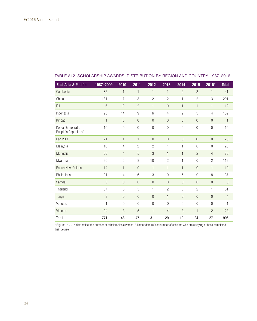| <b>East Asia &amp; Pacific</b>           | 1987-2009    | 2010           | 2011                      | 2012           | 2013           | 2014           | 2015           | 2016*                     | <b>Total</b>   |
|------------------------------------------|--------------|----------------|---------------------------|----------------|----------------|----------------|----------------|---------------------------|----------------|
|                                          |              |                |                           |                |                |                |                |                           |                |
| Cambodia                                 | 32           | $\mathbf{1}$   | $\mathbf{1}$              | 1              | $\mathbf{1}$   | $\overline{2}$ | $\overline{2}$ | $\mathbf{1}$              | 41             |
| China                                    | 181          | 7              | $\ensuremath{\mathsf{3}}$ | $\overline{c}$ | $\overline{2}$ | 1              | $\mathbf{2}$   | $\ensuremath{\mathbf{3}}$ | 201            |
| Fiji                                     | 6            | $\overline{0}$ | $\overline{2}$            | $\mathbf{1}$   | $\overline{0}$ | $\mathbf{1}$   | $\mathbf{1}$   | 1                         | 12             |
| Indonesia                                | 95           | 14             | 9                         | 6              | 4              | $\overline{2}$ | 5              | $\overline{4}$            | 139            |
| Kiribati                                 | $\mathbf{1}$ | $\mathbf{0}$   | $\theta$                  | $\bf 0$        | $\theta$       | $\overline{0}$ | $\overline{0}$ | $\overline{0}$            | $\mathbf{1}$   |
| Korea Democratic<br>People's Republic of | 16           | 0              | $\overline{0}$            | $\overline{0}$ | $\overline{0}$ | $\overline{0}$ | $\mathbf 0$    | $\overline{0}$            | 16             |
| Lao PDR                                  | 21           | 1              | 1                         | $\overline{0}$ | $\overline{0}$ | $\overline{0}$ | $\theta$       | $\overline{0}$            | 23             |
| Malaysia                                 | 16           | 4              | $\overline{c}$            | $\mathbf{2}$   | 1              | 1              | $\overline{0}$ | $\overline{0}$            | 26             |
| Mongolia                                 | 60           | 4              | 5                         | 3              | $\mathbf{1}$   | 1              | $\overline{2}$ | $\overline{4}$            | 80             |
| Myanmar                                  | 90           | 6              | 8                         | 10             | $\overline{2}$ | 1              | $\overline{0}$ | $\overline{2}$            | 119            |
| Papua New Guinea                         | 14           | $\mathbf{1}$   | $\overline{0}$            | 1              | $\mathbf{1}$   | 1              | $\overline{0}$ | $\mathbf{1}$              | 19             |
| Philippines                              | 91           | 4              | 6                         | 3              | 10             | 6              | 9              | 8                         | 137            |
| Samoa                                    | 3            | $\overline{0}$ | $\theta$                  | $\overline{0}$ | $\overline{0}$ | $\theta$       | $\theta$       | $\overline{0}$            | 3              |
| Thailand                                 | 37           | 3              | 5                         | 1              | $\overline{2}$ | $\overline{0}$ | $\overline{2}$ | $\mathbf{1}$              | 51             |
| Tonga                                    | 3            | $\mathbf 0$    | $\overline{0}$            | $\mathbf 0$    | $\mathbf{1}$   | $\overline{0}$ | $\overline{0}$ | $\overline{0}$            | $\overline{4}$ |
| Vanuatu                                  | $\mathbf{1}$ | $\overline{0}$ | $\overline{0}$            | $\overline{0}$ | $\overline{0}$ | $\overline{0}$ | $\overline{0}$ | $\overline{0}$            | 1              |
| Vietnam                                  | 104          | 3              | 5                         | $\mathbf{1}$   | $\overline{4}$ | 3              | $\mathbf{1}$   | $\overline{2}$            | 123            |
| <b>Total</b>                             | 771          | 48             | 47                        | 31             | 29             | 19             | 24             | 27                        | 996            |

## TABLE A12. SCHOLARSHIP AWARDS: DISTRIBUTION BY REGION AND COUNTRY, 1987–2016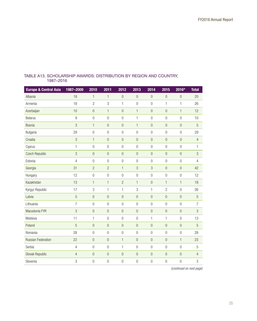| <b>Europe &amp; Central Asia</b> | 1987-2009      | 2010             | 2011             | 2012             | 2013             | 2014             | 2015             | 2016*            | <b>Total</b>   |
|----------------------------------|----------------|------------------|------------------|------------------|------------------|------------------|------------------|------------------|----------------|
| Albania                          | 18             | $\mathbf{1}$     | $\mathbf{1}$     | $\mathbf 0$      | $\boldsymbol{0}$ | $\mathbf{0}$     | $\boldsymbol{0}$ | $\mathbf{0}$     | 20             |
| Armenia                          | 18             | $\overline{c}$   | 3                | $\mathbf{1}$     | $\mathbf 0$      | $\mathbf 0$      | $\mathbf{1}$     | 1                | 26             |
| Azerbaijan                       | 10             | $\overline{0}$   | $\mathbf{1}$     | $\overline{0}$   | $\mathbf{1}$     | $\overline{0}$   | $\boldsymbol{0}$ | $\mathbf{1}$     | 12             |
| <b>Belarus</b>                   | 9              | $\overline{0}$   | $\overline{0}$   | $\boldsymbol{0}$ | 1                | $\boldsymbol{0}$ | $\boldsymbol{0}$ | $\boldsymbol{0}$ | 10             |
| Bosnia                           | 3              | $\mathbf{1}$     | $\overline{0}$   | $\overline{0}$   | $\mathbf{1}$     | $\boldsymbol{0}$ | $\boldsymbol{0}$ | $\mathbf 0$      | $\sqrt{5}$     |
| Bulgaria                         | 29             | $\overline{0}$   | $\overline{0}$   | $\boldsymbol{0}$ | $\mathbf 0$      | $\boldsymbol{0}$ | $\boldsymbol{0}$ | $\boldsymbol{0}$ | 29             |
| Croatia                          | $\mathfrak{B}$ | $\mathbf{1}$     | $\overline{0}$   | $\bf 0$          | $\mathbf 0$      | $\boldsymbol{0}$ | $\boldsymbol{0}$ | $\mathbf 0$      | $\overline{4}$ |
| Cyprus                           | $\mathbf{1}$   | $\overline{0}$   | $\overline{0}$   | $\overline{0}$   | $\overline{0}$   | $\overline{0}$   | $\overline{0}$   | $\overline{0}$   | 1              |
| Czech Republic                   | $\mathfrak{B}$ | $\overline{0}$   | $\overline{0}$   | $\overline{0}$   | $\mathbf 0$      | $\boldsymbol{0}$ | $\boldsymbol{0}$ | $\mathbf 0$      | 3              |
| Estonia                          | $\overline{4}$ | $\overline{0}$   | $\overline{0}$   | $\overline{0}$   | $\overline{0}$   | $\overline{0}$   | $\overline{0}$   | $\mathbf 0$      | $\overline{4}$ |
| Georgia                          | 31             | $\overline{c}$   | $\overline{2}$   | $\mathbf{1}$     | $\mathfrak{B}$   | 3                | $\bf 0$          | $\mathbf 0$      | 42             |
| Hungary                          | 12             | $\overline{0}$   | $\overline{0}$   | $\overline{0}$   | $\overline{0}$   | $\overline{0}$   | $\overline{0}$   | $\overline{0}$   | 12             |
| Kazakhstan                       | 13             | $\mathbf{1}$     | $\mathbf{1}$     | $\overline{c}$   | $\mathbf{1}$     | $\theta$         | $\mathbf{1}$     | 1                | 18             |
| Kyrgyz Republic                  | 17             | 3                | 1                | 1                | 3                | $\mathbf{1}$     | $\overline{c}$   | $\boldsymbol{0}$ | 26             |
| Latvia                           | 5              | $\overline{0}$   | $\overline{0}$   | $\overline{0}$   | $\overline{0}$   | $\overline{0}$   | $\boldsymbol{0}$ | $\mathbf 0$      | 5              |
| Lithuania                        | $\overline{7}$ | $\overline{0}$   | $\overline{0}$   | $\overline{0}$   | $\boldsymbol{0}$ | $\boldsymbol{0}$ | $\boldsymbol{0}$ | $\boldsymbol{0}$ | $\overline{7}$ |
| Macedonia FYR                    | $\mathfrak{B}$ | $\overline{0}$   | $\overline{0}$   | $\bf 0$          | $\boldsymbol{0}$ | $\boldsymbol{0}$ | $\mathbf 0$      | $\boldsymbol{0}$ | $\mathfrak{B}$ |
| Moldova                          | 11             | $\mathbf{1}$     | $\overline{0}$   | $\boldsymbol{0}$ | $\boldsymbol{0}$ | $\mathbf{1}$     | $\mathbf{1}$     | $\mathbf 0$      | 13             |
| Poland                           | 5              | $\overline{0}$   | $\overline{0}$   | $\boldsymbol{0}$ | $\boldsymbol{0}$ | $\boldsymbol{0}$ | $\boldsymbol{0}$ | $\boldsymbol{0}$ | $\mathbf 5$    |
| Romania                          | 28             | $\overline{0}$   | $\overline{0}$   | $\overline{0}$   | $\overline{0}$   | $\overline{0}$   | $\overline{0}$   | $\boldsymbol{0}$ | 28             |
| <b>Russian Federation</b>        | 22             | $\boldsymbol{0}$ | $\overline{0}$   | $\mathbf{1}$     | $\overline{0}$   | $\boldsymbol{0}$ | $\boldsymbol{0}$ | 1                | 23             |
| Serbia                           | $\overline{4}$ | $\overline{0}$   | $\overline{0}$   | $\mathbf{1}$     | $\boldsymbol{0}$ | $\boldsymbol{0}$ | $\boldsymbol{0}$ | $\boldsymbol{0}$ | 5              |
| Slovak Republic                  | $\overline{4}$ | $\boldsymbol{0}$ | $\boldsymbol{0}$ | $\theta$         | $\boldsymbol{0}$ | $\theta$         | $\bf 0$          | $\theta$         | $\overline{4}$ |
| Slovenia                         | 3              | $\overline{0}$   | $\overline{0}$   | $\boldsymbol{0}$ | 0                | $\boldsymbol{0}$ | $\boldsymbol{0}$ | $\boldsymbol{0}$ | 3              |

## TABLE A13. SCHOLARSHIP AWARDS: DISTRIBUTION BY REGION AND COUNTRY, 1987–2016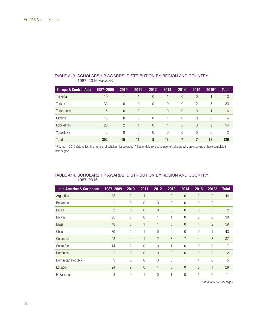|                                  | 1987–2016 (continued) |                |                |          |          |                |                |                |                |
|----------------------------------|-----------------------|----------------|----------------|----------|----------|----------------|----------------|----------------|----------------|
| <b>Europe &amp; Central Asia</b> | 1987-2009             | 2010           | 2011           | 2012     | 2013     | 2014           | 2015           | 2016*          | <b>Total</b>   |
| Tajikistan                       | 10                    |                |                | $\theta$ |          | $\Omega$       | $\overline{0}$ |                | 13             |
| Turkey                           | 33                    | $\Omega$       | $\Omega$       | $\Omega$ | $\Omega$ | $\Omega$       | $\overline{c}$ | 5              | 33             |
| Turkmenistan                     | 5                     | $\theta$       | $\Omega$       |          | $\theta$ | $\overline{0}$ | $\theta$       |                | 6              |
| Ukraine                          | 13                    | $\Omega$       | $\Omega$       | $\Omega$ |          | $\Omega$       | $\Omega$       | $\Omega$       | 14             |
| <b>Uzbekistan</b>                | 26                    | $\overline{2}$ |                | $\Omega$ |          | $\overline{2}$ | $\Omega$       | $\overline{2}$ | 34             |
| Yugoslavia                       | 2                     | $\overline{0}$ | $\overline{0}$ | $\Omega$ | $\Omega$ | 0              | 0              | 0              | $\overline{2}$ |
| <b>Total</b>                     | 352                   | 15             | 11             | 8        | 13       |                |                | 13             | 426            |

#### *(continued)* TABLE A13. SCHOLARSHIP AWARDS: DISTRIBUTION BY REGION AND COUNTRY, 1987–2016

\* Figures in 2016 data reflect the number of scholarships awarded. All other data reflect number of scholars who are studying or have completed their degree.

## TABLE A14. SCHOLARSHIP AWARDS: DISTRIBUTION BY REGION AND COUNTRY, 1987–2016

| <b>Latin America &amp; Caribbean</b> | 1987-2009      | 2010           | 2011           | 2012           | 2013           | 2014           | 2015           | 2016*          | <b>Total</b>   |
|--------------------------------------|----------------|----------------|----------------|----------------|----------------|----------------|----------------|----------------|----------------|
| Argentina                            | 38             | $\overline{2}$ | $\mathbf{1}$   | 1              | $\Omega$       | $\overline{0}$ | $\overline{2}$ | $\overline{0}$ | 44             |
| <b>Bahamas</b>                       | 1              | $\overline{0}$ | $\overline{0}$ | $\overline{0}$ | $\overline{0}$ | $\overline{0}$ | $\overline{0}$ | $\overline{0}$ | 1              |
| <b>Belize</b>                        | $\overline{2}$ | $\overline{0}$ | $\overline{0}$ | $\overline{0}$ | $\overline{0}$ | $\overline{0}$ | $\overline{0}$ | $\overline{0}$ | $\overline{2}$ |
| <b>Bolivia</b>                       | 25             | 3              | $\overline{0}$ |                | 1              | $\overline{0}$ | $\overline{0}$ | $\mathbf{0}$   | 30             |
| <b>Brazil</b>                        | 48             | 3              | 1              | 1              | $\overline{0}$ | $\overline{0}$ | $\overline{4}$ | $\overline{2}$ | 59             |
| Chile                                | 39             | $\overline{2}$ | 1              | $\overline{0}$ | $\overline{0}$ | $\overline{0}$ | $\overline{0}$ | 1              | 43             |
| Colombia                             | 58             | $\overline{4}$ | $\mathbf{1}$   | $\overline{2}$ | 3              | $\overline{7}$ | $\overline{4}$ | 8              | 87             |
| Costa Rica                           | 14             | $\overline{2}$ | $\overline{0}$ | $\overline{0}$ | 1              | $\overline{0}$ | $\overline{0}$ | $\overline{0}$ | 17             |
| Dominica                             | $\overline{2}$ | $\overline{0}$ | $\overline{0}$ | $\overline{0}$ | $\overline{0}$ | $\overline{0}$ | $\overline{0}$ | $\overline{0}$ | $\overline{2}$ |
| Dominican Republic                   | 3              | $\overline{0}$ | $\overline{0}$ | $\overline{0}$ | $\overline{0}$ | 1              | 1              | $\overline{0}$ | 5              |
| Ecuador                              | 24             | $\overline{2}$ | $\overline{0}$ | 1              | $\overline{0}$ | $\overline{0}$ | $\overline{0}$ | $\mathbf{1}$   | 28             |
| El Salvador                          | 8              | $\overline{0}$ | 1              | $\overline{0}$ | 1              | $\overline{0}$ | 1              | $\overline{0}$ | 11             |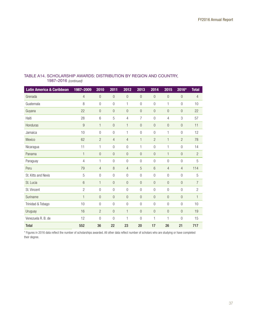| <b>Latin America &amp; Caribbean</b> | 1987-2009      | 2010             | 2011           | 2012           | 2013           | 2014           | 2015           | 2016*          | <b>Total</b>   |
|--------------------------------------|----------------|------------------|----------------|----------------|----------------|----------------|----------------|----------------|----------------|
| Grenada                              | $\overline{4}$ | $\overline{0}$   | $\overline{0}$ | $\overline{0}$ | $\overline{0}$ | $\overline{0}$ | $\overline{0}$ | $\overline{0}$ | 4              |
| Guatemala                            | 8              | $\overline{0}$   | $\overline{0}$ | 1              | $\overline{0}$ | $\overline{0}$ | 1              | 0              | 10             |
| Guyana                               | 22             | $\mathbf 0$      | $\overline{0}$ | $\overline{0}$ | $\overline{0}$ | $\overline{0}$ | $\overline{0}$ | $\overline{0}$ | 22             |
| Haiti                                | 28             | 6                | 5              | $\overline{4}$ | $\overline{7}$ | $\overline{0}$ | $\overline{4}$ | 3              | 57             |
| Honduras                             | 9              | $\mathbf{1}$     | $\overline{0}$ | $\mathbf{1}$   | $\overline{0}$ | $\overline{0}$ | $\overline{0}$ | $\overline{0}$ | 11             |
| Jamaica                              | 10             | $\mathbf 0$      | $\overline{0}$ | $\mathbf{1}$   | $\overline{0}$ | $\overline{0}$ | $\mathbf{1}$   | 0              | 12             |
| Mexico                               | 62             | $\overline{2}$   | $\overline{4}$ | $\overline{4}$ | $\mathbf{1}$   | $\overline{c}$ | $\mathbf{1}$   | $\overline{c}$ | 78             |
| Nicaragua                            | 11             | $\mathbf{1}$     | $\overline{0}$ | $\mathbf 0$    | 1              | $\overline{0}$ | $\mathbf{1}$   | 0              | 14             |
| Panama                               | $\mathbf{1}$   | $\overline{0}$   | $\overline{0}$ | $\overline{0}$ | $\overline{0}$ | $\overline{0}$ | $\mathbf{1}$   | $\overline{0}$ | $\overline{2}$ |
| Paraguay                             | 4              | 1                | $\overline{0}$ | $\overline{0}$ | $\theta$       | $\overline{0}$ | $\overline{0}$ | 0              | 5              |
| Peru                                 | 79             | $\overline{4}$   | 8              | $\overline{4}$ | 5              | 6              | $\overline{4}$ | $\overline{4}$ | 114            |
| St. Kitts and Nevis                  | 5              | $\boldsymbol{0}$ | $\overline{0}$ | $\overline{0}$ | $\overline{0}$ | $\overline{0}$ | $\overline{0}$ | $\overline{0}$ | 5              |
| St. Lucia                            | 6              | $\mathbf{1}$     | $\overline{0}$ | $\overline{0}$ | $\overline{0}$ | $\overline{0}$ | $\overline{0}$ | $\overline{0}$ | $\overline{7}$ |
| St. Vincent                          | 2              | $\mathbf 0$      | $\overline{0}$ | $\overline{0}$ | $\overline{0}$ | $\overline{0}$ | $\overline{0}$ | 0              | $\overline{c}$ |
| Suriname                             | $\mathbf{1}$   | $\mathbf 0$      | $\overline{0}$ | $\overline{0}$ | $\overline{0}$ | $\overline{0}$ | $\overline{0}$ | $\mathbf 0$    | $\mathbf{1}$   |
| Trinidad & Tobago                    | 10             | $\mathbf 0$      | $\mathbf 0$    | $\mathbf 0$    | $\overline{0}$ | $\mathbf 0$    | $\overline{0}$ | $\mathbf 0$    | 10             |
| Uruguay                              | 16             | $\overline{c}$   | $\overline{0}$ | $\mathbf{1}$   | $\overline{0}$ | $\overline{0}$ | $\theta$       | $\overline{0}$ | 19             |
| Venezuela R. B. de                   | 12             | $\mathbf 0$      | $\overline{0}$ | 1              | $\overline{0}$ | 1              | 1              | $\overline{0}$ | 15             |
| <b>Total</b>                         | 552            | 36               | 22             | 23             | 20             | 17             | 26             | 21             | 717            |

## TABLE A14. SCHOLARSHIP AWARDS: DISTRIBUTION BY REGION AND COUNTRY, 1987–2016 *(continued)*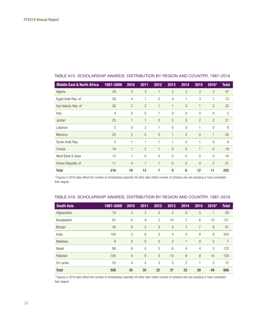| 1987-2009 | 2010           | 2011           | 2012           | 2013           | 2014           | 2015           | 2016*          | <b>Total</b> |
|-----------|----------------|----------------|----------------|----------------|----------------|----------------|----------------|--------------|
| 29        | 3              | 3              | 1              | $\overline{2}$ | 3              | 3              | 3              | 47           |
| 59        | 4              | 1              | $\theta$       | 4              | 1              | 3              | 1              | 73           |
| 26        | $\overline{2}$ | $\overline{2}$ | 1              | $\mathbf{1}$   | $\Omega$       | 1              | $\overline{2}$ | 35           |
| 4         | $\overline{0}$ | $\overline{0}$ | 1              | $\overline{0}$ | $\overline{0}$ | $\overline{0}$ | $\overline{0}$ | 5            |
| 25        | 1              | 1              | $\overline{0}$ | $\overline{0}$ | $\overline{0}$ | $\overline{2}$ | $\overline{2}$ | 31           |
| 5         | $\overline{0}$ | $\overline{2}$ | 1              | $\overline{0}$ | $\overline{0}$ | 1              | $\overline{0}$ | 9            |
| 25        | $\overline{2}$ | 0              | $\Omega$       | 1              | $\Omega$       | $\overline{0}$ | 1              | 29           |
| 3         | 1              | 1              | 1              | 1              | $\overline{0}$ | 1              | $\overline{0}$ | 8            |
| 14        | 1              | $\overline{2}$ | $\mathbf{1}$   | $\overline{0}$ | $\overline{0}$ | 1              | $\overline{0}$ | 19           |
| 15        | 1              | $\overline{0}$ | $\Omega$       | $\overline{0}$ | $\overline{0}$ | $\Omega$       | $\theta$       | 16           |
| 11        | $\overline{4}$ | 1              | 1              | $\overline{0}$ | $\overline{2}$ | $\Omega$       | $\overline{2}$ | 21           |
| 216       | 19             | 13             | 7              | 9              | 6              | 12             | 11             | 293          |
|           |                |                |                |                |                |                |                |              |

## TABLE A15. SCHOLARSHIP AWARDS: DISTRIBUTION BY REGION AND COUNTRY, 1987–2016

\* Figures in 2016 data reflect the number of scholarships awarded. All other data reflect number of scholars who are studying or have completed their degree.

#### TABLE A16. SCHOLARSHIP AWARDS: DISTRIBUTION BY REGION AND COUNTRY, 1987–2016

| <b>South Asia</b> | 1987-2009 | 2010           | 2011           | 2012           | 2013           | 2014           | 2015     | 2016*          | <b>Total</b> |
|-------------------|-----------|----------------|----------------|----------------|----------------|----------------|----------|----------------|--------------|
| Afghanistan       | 15        | $\overline{2}$ | $\overline{2}$ | $\overline{2}$ | $\overline{2}$ | $\overline{0}$ | 5        |                | 29           |
| Bangladesh        | 81        | 6              | 9              | $\overline{2}$ | 10             | 7              | 6        | 10             | 131          |
| <b>Bhutan</b>     | 45        | 6              | 3              | 3              | $\overline{2}$ | 7              | 7        | 8              | 81           |
| India             | 165       | 5              | 6              | 3              | 4              | 4              | 8        | 9              | 204          |
| <b>Maldives</b>   | 6         | $\overline{0}$ | $\overline{0}$ | $\theta$       | $\overline{0}$ |                | $\theta$ | $\theta$       | 7            |
| Nepal             | 86        | 8              | 5              | 5              | 6              | 4              | 4        | 5              | 123          |
| Pakistan          | 105       | 4              | 6              | $\overline{4}$ | 10             | 8              | 8        | 14             | 159          |
| Sri Lanka         | 53        | 4              | 4              | 3              | 3              | 2              |          | $\overline{2}$ | 72           |
| <b>Total</b>      | 556       | 35             | 35             | 22             | 37             | 33             | 39       | 49             | 806          |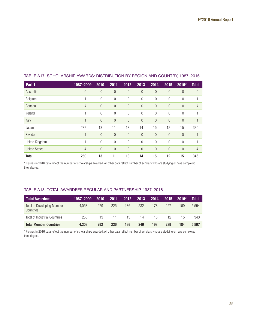| Part 1               |                |                |                | 2012           |                |                |                |                |                |
|----------------------|----------------|----------------|----------------|----------------|----------------|----------------|----------------|----------------|----------------|
|                      | 1987-2009      | 2010           | 2011           |                | 2013           | 2014           | 2015           | 2016*          | <b>Total</b>   |
| Australia            | $\theta$       | $\theta$       | $\theta$       | $\overline{0}$ | $\overline{0}$ | $\theta$       | $\theta$       | $\overline{0}$ | $\theta$       |
| Belgium              |                | $\overline{0}$ | $\mathbf{0}$   | 0              | $\overline{0}$ | $\overline{0}$ | $\theta$       | 0              |                |
| Canada               | $\overline{4}$ | $\mathbf{0}$   | $\theta$       | $\overline{0}$ | $\theta$       | $\overline{0}$ | $\theta$       | $\overline{0}$ | $\overline{4}$ |
| Ireland              |                | $\overline{0}$ | $\mathbf 0$    | $\mathbf 0$    | $\overline{0}$ | $\overline{0}$ | $\theta$       | 0              |                |
| Italy                |                | $\theta$       | $\theta$       | $\mathbf 0$    | $\overline{0}$ | $\overline{0}$ | $\overline{0}$ | $\overline{0}$ |                |
| Japan                | 237            | 13             | 11             | 13             | 14             | 15             | 12             | 15             | 330            |
| Sweden               | 4              | $\overline{0}$ | $\theta$       | $\theta$       | $\overline{0}$ | $\overline{0}$ | $\overline{0}$ | $\overline{0}$ |                |
| United Kingdom       | 1              | $\overline{0}$ | $\overline{0}$ | $\overline{0}$ | $\overline{0}$ | $\overline{0}$ | $\Omega$       | $\Omega$       |                |
| <b>United States</b> | $\overline{4}$ | $\overline{0}$ | $\overline{0}$ | $\mathbf 0$    | $\overline{0}$ | $\overline{0}$ | $\overline{0}$ | $\overline{0}$ | $\overline{4}$ |
| Total                | 250            | 13             | 11             | 13             | 14             | 15             | 12             | 15             | 343            |

## TABLE A17. SCHOLARSHIP AWARDS: DISTRIBUTION BY REGION AND COUNTRY, 1987–2016

\* Figures in 2016 data reflect the number of scholarships awarded. All other data reflect number of scholars who are studying or have completed their degree.

## TABLE A18. TOTAL AWARDEES REGULAR AND PARTNERSHIP, 1987–2016

| <b>Total Awardees</b>                          | 1987-2009 | 2010 | 2011 | 2012 | 2013 | 2014 | 2015 | $2016*$ | Total |
|------------------------------------------------|-----------|------|------|------|------|------|------|---------|-------|
| <b>Total of Developing Member</b><br>Countries | 4.058     | 279  | 225  | 186  | 232  | 178  | 227  | 169     | 5.554 |
| <b>Total of Industrial Countries</b>           | 250       | 13.  | 11   | -13  | 14   | 15   | 12   | 15      | 343   |
| <b>Total Member Countries</b>                  | 4.308     | 292  | 236  | 199  | 246  | 193  | 239  | 184     | 5.897 |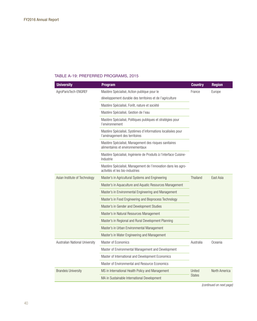## TABLE A-19: PREFERRED PROGRAMS, 2015

| <b>University</b>              | <b>Program</b>                                                                                   | <b>Country</b> | <b>Region</b> |  |
|--------------------------------|--------------------------------------------------------------------------------------------------|----------------|---------------|--|
| AgroParisTech-ENGREF           | Mastère Spécialisé, Action publique pour le                                                      | France         | Europe        |  |
|                                | développement durable des territoires et de l'agriculture                                        |                |               |  |
|                                | Mastère Spécialisé, Forêt, nature et société                                                     |                |               |  |
|                                | Mastère Spécialisé, Gestion de l'eau                                                             |                |               |  |
|                                | Mastère Spécialisé, Politiques publiques et stratégies pour<br>l'environnement                   |                |               |  |
|                                | Mastère Spécialisé, Systèmes d'informations localisées pour<br>l'aménagement des territoires     |                |               |  |
|                                | Mastère Spécialisé, Management des risques sanitaires<br>alimentaires et environnementaux        |                |               |  |
|                                | Mastère Spécialisé, Ingénierie de Produits à l'interface Cuisine-<br>Industrie                   |                |               |  |
|                                | Mastère Spécialisé, Management de l'innovation dans les agro-<br>activités et les bio-industries |                |               |  |
| Asian Institute of Technology  | Master's in Agricultural Systems and Engineering                                                 | Thailand       | East Asia     |  |
|                                | Master's in Aquaculture and Aquatic Resources Management                                         |                |               |  |
|                                | Master's in Environmental Engineering and Management                                             |                |               |  |
|                                | Master's in Food Engineering and Bioprocess Technology                                           |                |               |  |
|                                | Master's in Gender and Development Studies                                                       |                |               |  |
|                                | Master's in Natural Resources Management                                                         |                |               |  |
|                                | Master's in Regional and Rural Development Planning                                              |                |               |  |
|                                | Master's in Urban Environmental Management                                                       |                |               |  |
|                                | Master's in Water Engineering and Management                                                     |                |               |  |
| Australian National University | Master of Economics                                                                              | Australia      | Oceania       |  |
|                                | Master of Environmental Management and Development                                               |                |               |  |
|                                | Master of International and Development Economics                                                |                |               |  |
|                                | Master of Environmental and Resource Economics                                                   |                |               |  |
| <b>Brandeis University</b>     | MS in International Health Policy and Management                                                 | United         | North America |  |
|                                | MA in Sustainable International Development                                                      | <b>States</b>  |               |  |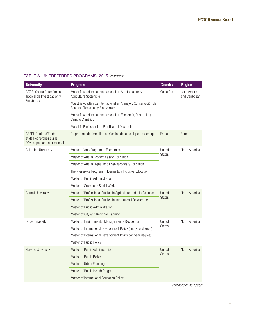| TABLE A-19: PREFERRED PROGRAMS, 2015 (continued) |  |  |
|--------------------------------------------------|--|--|
|                                                  |  |  |

| <b>University</b>                                                                | <b>Program</b>                                                                                     | <b>Country</b>          | <b>Region</b>                  |  |
|----------------------------------------------------------------------------------|----------------------------------------------------------------------------------------------------|-------------------------|--------------------------------|--|
| CATIE, Centro Agronómico<br>Tropical de Investigación y                          | Maestría Académica Internacional en Agroforestería y<br>Agricultura Sostenible                     | Costa Rica              | Latin America<br>and Caribbean |  |
| Enseñanza                                                                        | Maestría Académica Internacional en Manejo y Conservación de<br>Bosques Tropicales y Biodiversidad |                         |                                |  |
|                                                                                  | Maestría Académica Internacional en Economía, Desarrollo y<br>Cambio Climático                     |                         |                                |  |
|                                                                                  | Maestría Profesional en Práctica del Desarrollo                                                    |                         |                                |  |
| CERDI, Centre d'Etudes<br>et de Recherches sur le<br>Développement International | Programme de formation en Gestion de la politique economique                                       | France                  | Europe                         |  |
| Columbia University                                                              | Master of Arts Program in Economics                                                                | United                  | North America                  |  |
|                                                                                  | Master of Arts in Economics and Education                                                          | States                  |                                |  |
|                                                                                  | Master of Arts in Higher and Post-secondary Education                                              |                         |                                |  |
|                                                                                  | The Preservice Program in Elementary Inclusive Education                                           |                         |                                |  |
|                                                                                  | Master of Public Administration                                                                    |                         |                                |  |
|                                                                                  | Master of Science in Social Work                                                                   |                         |                                |  |
| <b>Cornell University</b>                                                        | Master of Professional Studies in Agriculture and Life Sciences                                    | United<br><b>States</b> | North America                  |  |
|                                                                                  | Master of Professional Studies in International Development                                        |                         |                                |  |
|                                                                                  | Master of Public Administration                                                                    |                         |                                |  |
|                                                                                  | Master of City and Regional Planning                                                               |                         |                                |  |
| Duke University                                                                  | Master of Environmental Management - Residential                                                   | United                  | North America                  |  |
|                                                                                  | Master of International Development Policy (one year degree)                                       | <b>States</b>           |                                |  |
|                                                                                  | Master of International Development Policy two year degree)                                        |                         |                                |  |
|                                                                                  | Master of Public Policy                                                                            |                         |                                |  |
| <b>Harvard University</b>                                                        | Master in Public Administration                                                                    | United                  | North America                  |  |
|                                                                                  | Master in Public Policy                                                                            | <b>States</b>           |                                |  |
|                                                                                  | Master in Urban Planning                                                                           |                         |                                |  |
|                                                                                  | Master of Public Health Program                                                                    |                         |                                |  |
|                                                                                  | Master of International Education Policy                                                           |                         |                                |  |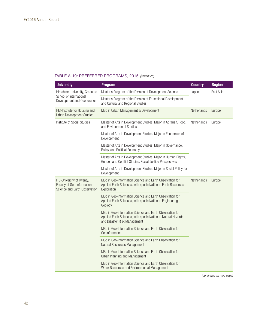| <b>University</b>                                                                        | <b>Program</b>                                                                                                                                             | <b>Country</b> | <b>Region</b> |
|------------------------------------------------------------------------------------------|------------------------------------------------------------------------------------------------------------------------------------------------------------|----------------|---------------|
| Hiroshima University, Graduate                                                           | Master's Program of the Division of Development Science                                                                                                    | Japan          | East Asia     |
| School of International<br>Development and Cooperation                                   | Master's Program of the Division of Educational Development<br>and Cultural and Regional Studies                                                           |                |               |
| IHS-Institute for Housing and<br><b>Urban Development Studies</b>                        | MSc in Urban Management & Development                                                                                                                      | Netherlands    | Europe        |
| Institute of Social Studies                                                              | Master of Arts in Development Studies, Major in Agrarian, Food,<br>and Environmental Studies                                                               | Netherlands    | Europe        |
|                                                                                          | Master of Arts in Development Studies, Major in Economics of<br>Development                                                                                |                |               |
|                                                                                          | Master of Arts in Development Studies, Major in Governance,<br>Policy, and Political Economy                                                               |                |               |
|                                                                                          | Master of Arts in Development Studies, Major in Human Rights,<br>Gender, and Conflict Studies: Social Justice Perspectives                                 |                |               |
|                                                                                          | Master of Arts in Development Studies, Major in Social Policy for<br>Development                                                                           |                |               |
| ITC-University of Twenty,<br>Faculty of Geo-Information<br>Science and Earth Observation | MSc in Geo-information Science and Earth Observation for<br>Applied Earth Sciences, with specialization in Earth Resources<br>Exploration                  | Netherlands    | Europe        |
|                                                                                          | MSc in Geo-information Science and Earth Observation for<br>Applied Earth Sciences, with specialization in Engineering<br>Geology                          |                |               |
|                                                                                          | MSc in Geo-information Science and Earth Observation for<br>Applied Earth Sciences, with specialization in Natural Hazards<br>and Disaster Risk Management |                |               |
|                                                                                          | MSc in Geo-Information Science and Earth Observation for<br>Geoinformatics                                                                                 |                |               |
|                                                                                          | MSc in Geo-Information Science and Earth Observation for<br>Natural Resources Management                                                                   |                |               |
|                                                                                          | MSc in Geo-Information Science and Earth Observation for<br>Urban Planning and Management                                                                  |                |               |
|                                                                                          | MSc in Geo-Information Science and Earth Observation for<br>Water Resources and Environmental Management                                                   |                |               |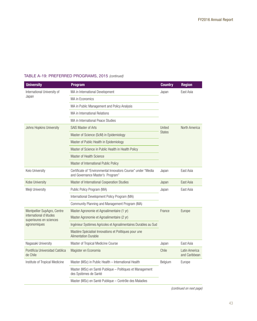| <b>University</b>                                 | <b>Program</b>                                                                                    | <b>Country</b> | <b>Region</b>                  |  |
|---------------------------------------------------|---------------------------------------------------------------------------------------------------|----------------|--------------------------------|--|
| International University of                       | MA in International Development                                                                   | Japan          | East Asia                      |  |
| Japan                                             | MA in Economics                                                                                   |                |                                |  |
|                                                   | MA in Public Management and Policy Analysis                                                       |                |                                |  |
|                                                   | MA in International Relations                                                                     |                |                                |  |
|                                                   | MA in International Peace Studies                                                                 |                |                                |  |
| Johns Hopkins University                          | <b>SAIS Master of Arts</b>                                                                        | United         | North America                  |  |
|                                                   | Master of Science (ScM) in Epidemiology                                                           | <b>States</b>  |                                |  |
|                                                   | Master of Public Health in Epidemiology                                                           |                |                                |  |
|                                                   | Master of Science in Public Health in Health Policy                                               |                |                                |  |
|                                                   | Master of Health Science                                                                          |                |                                |  |
|                                                   | Master of International Public Policy                                                             |                |                                |  |
| Keio University                                   | Certificate of "Environmental Innovators Course" under "Media<br>and Governance Master's Program" | Japan          | East Asia                      |  |
| Kobe University                                   | Master of International Cooperation Studies                                                       | Japan          | East Asia                      |  |
| Meiji University                                  | Public Policy Program (MA)                                                                        | Japan          | East Asia                      |  |
|                                                   | International Development Policy Program (MA)                                                     |                |                                |  |
|                                                   | Community Planning and Management Program (MA)                                                    |                |                                |  |
| Montpellier SupAgro, Centre                       | Master Agronomie et Agroalimentaire (1 yr)                                                        | France         | Europe                         |  |
| international d'études<br>superieures en sciences | Master Agronomie et Agroalimentaire (2 yr)                                                        |                |                                |  |
| agronomiques                                      | Ingénieur Systèmes Agricoles et Agroalimentaires Durables au Sud                                  |                |                                |  |
|                                                   | Mastère Spécialisé Innovations et Politiques pour une<br><b>Alimentation Durable</b>              |                |                                |  |
| Nagasaki University                               | Master of Tropical Medicine Course                                                                | Japan          | East Asia                      |  |
| Pontificia Universidad Católica<br>de Chile       | Magister en Economia                                                                              | Chile          | Latin America<br>and Caribbean |  |
| Institute of Tropical Medicine                    | Master (MSc) in Public Health - International Health                                              | Belgium        | Europe                         |  |
|                                                   | Master (MSc) en Santé Publique - Politiques et Management<br>des Systèmes de Santé                |                |                                |  |
|                                                   | Master (MSc) en Santé Publique - Contrôle des Maladies                                            |                |                                |  |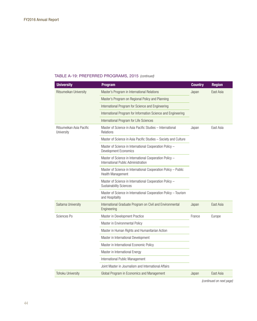| <b>University</b>                      | <b>Program</b>                                                                                 | <b>Country</b> | <b>Region</b> |
|----------------------------------------|------------------------------------------------------------------------------------------------|----------------|---------------|
| Ritsumeikan University                 | Master's Program in International Relations                                                    | Japan          | East Asia     |
|                                        | Master's Program on Regional Policy and Planning                                               |                |               |
|                                        | International Program for Science and Engineering                                              |                |               |
|                                        | International Program for Information Science and Engineering                                  |                |               |
|                                        | International Program for Life Sciences                                                        |                |               |
| Ritsumeikan Asia Pacific<br>University | Master of Science in Asia Pacific Studies - International<br>Relations                         | Japan          | East Asia     |
|                                        | Master of Science in Asia Pacific Studies - Society and Culture                                |                |               |
|                                        | Master of Science in International Cooperation Policy -<br>Development Economics               |                |               |
|                                        | Master of Science in International Cooperation Policy -<br>International Public Administration |                |               |
|                                        | Master of Science in International Cooperation Policy - Public<br>Health Management            |                |               |
|                                        | Master of Science in International Cooperation Policy -<br><b>Sustainability Sciences</b>      |                |               |
|                                        | Master of Science in International Cooperation Policy - Tourism<br>and Hospitality             |                |               |
| Saitama University                     | International Graduate Program on Civil and Environmental<br>Engineering                       | Japan          | East Asia     |
| Sciences Po                            | Master in Development Practice                                                                 | France         | Europe        |
|                                        | Master in Environmental Policy                                                                 |                |               |
|                                        | Master in Human Rights and Humanitarian Action                                                 |                |               |
|                                        | Master in International Development                                                            |                |               |
|                                        | Master in International Economic Policy                                                        |                |               |
|                                        | Master in International Energy                                                                 |                |               |
|                                        | International Public Management                                                                |                |               |
|                                        | Joint Master in Journalism and International Affairs                                           |                |               |
| Tohoku University                      | Global Program in Economics and Management                                                     | Japan          | East Asia     |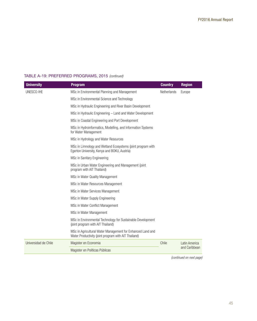| <b>University</b>    | <b>Program</b>                                                                                                     | <b>Country</b> | <b>Region</b>                  |
|----------------------|--------------------------------------------------------------------------------------------------------------------|----------------|--------------------------------|
| UNESCO-IHE           | MSc in Environmental Planning and Management                                                                       | Netherlands    | Europe                         |
|                      | MSc in Environmental Science and Technology                                                                        |                |                                |
|                      | MSc in Hydraulic Engineering and River Basin Development                                                           |                |                                |
|                      | MSc in Hydraulic Engineering - Land and Water Development                                                          |                |                                |
|                      | MSc in Coastal Engineering and Port Development                                                                    |                |                                |
|                      | MSc in Hydroinformatics, Modelling, and Information Systems<br>for Water Management                                |                |                                |
|                      | MSc in Hydrology and Water Resources                                                                               |                |                                |
|                      | MSc in Limnology and Wetland Ecosystems (joint program with<br>Egerton University, Kenya and BOKU, Austria)        |                |                                |
|                      | MSc in Sanitary Engineering                                                                                        |                |                                |
|                      | MSc in Urban Water Engineering and Management (joint<br>program with AIT Thailand)                                 |                |                                |
|                      | MSc in Water Quality Management                                                                                    |                |                                |
|                      | MSc in Water Resources Management                                                                                  |                |                                |
|                      | MSc in Water Services Management                                                                                   |                |                                |
|                      | MSc in Water Supply Engineering                                                                                    |                |                                |
|                      | MSc in Water Conflict Management                                                                                   |                |                                |
|                      | MSc in Water Management                                                                                            |                |                                |
|                      | MSc in Environmental Technology for Sustainable Development<br>(joint program with AIT Thailand)                   |                |                                |
|                      | MSc in Agricultural Water Management for Enhanced Land and<br>Water Productivity (joint program with AIT Thailand) |                |                                |
| Universidad de Chile | Magister en Economia                                                                                               | Chile          | Latin America<br>and Caribbean |
|                      | Magister en Políticas Públicas                                                                                     |                |                                |
|                      |                                                                                                                    |                |                                |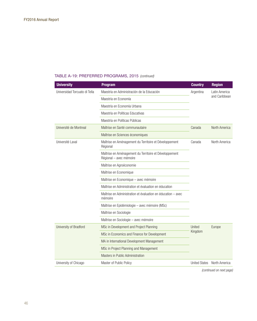| <b>University</b>             | <b>Program</b>                                                                    | <b>Country</b>       | <b>Region</b>                  |
|-------------------------------|-----------------------------------------------------------------------------------|----------------------|--------------------------------|
| Universidad Torcuato di Tella | Maestría en Administración de la Educación                                        | Argentina            | Latin America<br>and Caribbean |
|                               | Maestría en Economía                                                              |                      |                                |
|                               | Maestría en Economía Urbana                                                       |                      |                                |
|                               | Maestría en Políticas Educativas                                                  |                      |                                |
|                               | Maestría en Políticas Públicas                                                    |                      |                                |
| Université de Montreal        | Maîtrise en Santé communautaire                                                   | Canada               | North America                  |
|                               | Maîtrise en Sciences économiques                                                  |                      |                                |
| Université Laval              | Maîtrise en Aménagement du Territoire et Développement<br>Régional                | Canada               | North America                  |
|                               | Maîtrise en Aménagement du Territoire et Développement<br>Régional - avec mémoire |                      |                                |
|                               | Maîtrise en Agroéconomie                                                          |                      |                                |
|                               | Maîtrise en Economique                                                            |                      |                                |
|                               | Maîtrise en Economique - avec mémoire                                             |                      |                                |
|                               | Maîtrise en Administration et évaluation en éducation                             |                      |                                |
|                               | Maîtrise en Administration et évaluation en éducation – avec<br>mémoire           |                      |                                |
|                               | Maîtrise en Epidémiologie - avec mémoire (MSc)                                    |                      |                                |
|                               | Maîtrise en Sociologie                                                            |                      |                                |
|                               | Maîtrise en Sociologie - avec mémoire                                             |                      |                                |
| University of Bradford        | MSc in Development and Project Planning                                           | United<br>Kingdom    | Europe                         |
|                               | MSc in Economics and Finance for Development                                      |                      |                                |
|                               | MA in International Development Management                                        |                      |                                |
|                               | MSc in Project Planning and Management                                            |                      |                                |
|                               | Masters in Public Administration                                                  |                      |                                |
| University of Chicago         | Master of Public Policy                                                           | <b>United States</b> | North America                  |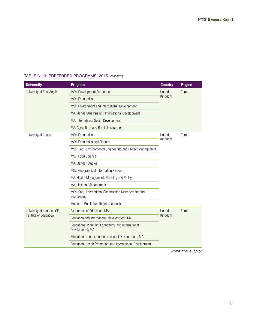| <b>University</b>          | <b>Program</b>                                                        | <b>Country</b>    | <b>Region</b> |
|----------------------------|-----------------------------------------------------------------------|-------------------|---------------|
| University of East Anglia  | MSc, Development Economics                                            | United<br>Kingdom | Europe        |
|                            | MSc, Economics                                                        |                   |               |
|                            | MSc, Environment and International Development                        |                   |               |
|                            | MA, Gender Analysis and International Development                     |                   |               |
|                            | MA, International Social Development                                  |                   |               |
|                            | MA, Agriculture and Rural Development                                 |                   |               |
| University of Leeds        | MSc, Economics                                                        | United            | Europe        |
|                            | MSc, Economics and Finance                                            | Kingdom           |               |
|                            | MSc (Eng), Environmental Engineering and Project Management           |                   |               |
|                            | MSc, Food Science                                                     |                   |               |
|                            | MA, Gender Studies                                                    |                   |               |
|                            | MSc, Geographical Information Systems                                 |                   |               |
|                            | MA, Health Management, Planning and Policy                            |                   |               |
|                            | MA, Hospital Management                                               |                   |               |
|                            | MSc (Eng), International Construction Management and<br>Engineering   |                   |               |
|                            | Master of Public Health (International)                               |                   |               |
| University of London, IOE, | Economics of Education, MA                                            | United<br>Kingdom | Europe        |
| Institute of Education     | Education and International Development, MA                           |                   |               |
|                            | Educational Planning, Economics, and International<br>Development, MA |                   |               |
|                            | Education, Gender, and International Development, MA                  |                   |               |
|                            | Education, Health Promotion, and International Development            |                   |               |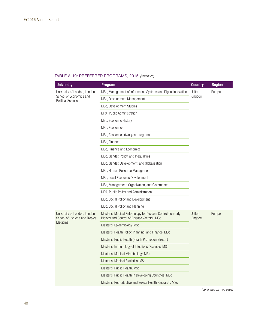| <b>University</b>                                                                   | <b>Program</b>                                                                                             | <b>Country</b>    | <b>Region</b> |
|-------------------------------------------------------------------------------------|------------------------------------------------------------------------------------------------------------|-------------------|---------------|
| University of London, London<br>School of Economics and<br><b>Political Science</b> | MSc, Management of Information Systems and Digital Innovation                                              | United<br>Kingdom | Europe        |
|                                                                                     | MSc, Development Management                                                                                |                   |               |
|                                                                                     | MSc, Development Studies                                                                                   |                   |               |
|                                                                                     | MPA, Public Administration                                                                                 |                   |               |
|                                                                                     | MSc, Economic History                                                                                      |                   |               |
|                                                                                     | MSc, Economics                                                                                             |                   |               |
|                                                                                     | MSc, Economics (two-year program)                                                                          |                   |               |
|                                                                                     | MSc, Finance                                                                                               |                   |               |
|                                                                                     | MSc, Finance and Economics                                                                                 |                   |               |
|                                                                                     | MSc, Gender, Policy, and Inequalities                                                                      |                   |               |
|                                                                                     | MSc, Gender, Development, and Globalisation                                                                |                   |               |
|                                                                                     | MSc, Human Resource Management                                                                             |                   |               |
|                                                                                     | MSc, Local Economic Development                                                                            |                   |               |
|                                                                                     | MSc, Management, Organization, and Governance                                                              |                   |               |
|                                                                                     | MPA, Public Policy and Administration                                                                      |                   |               |
|                                                                                     | MSc, Social Policy and Development                                                                         |                   |               |
|                                                                                     | MSc, Social Policy and Planning                                                                            |                   |               |
| University of London, London<br>School of Hygiene and Tropical                      | Master's, Medical Entomology for Disease Control (formerly<br>Biology and Control of Disease Vectors), MSc | United<br>Kingdom | Europe        |
| Medicine                                                                            | Master's, Epidemiology, MSc                                                                                |                   |               |
|                                                                                     | Master's, Health Policy, Planning, and Finance, MSc                                                        |                   |               |
|                                                                                     | Master's, Public Health (Health Promotion Stream)                                                          |                   |               |
|                                                                                     | Master's, Immunology of Infectious Diseases, MSc                                                           |                   |               |
|                                                                                     | Master's, Medical Microbiology, MSc                                                                        |                   |               |
|                                                                                     | Master's, Medical Statistics, MSc                                                                          |                   |               |
|                                                                                     | Master's, Public Health, MSc                                                                               |                   |               |
|                                                                                     | Master's, Public Health in Developing Countries, MSc                                                       |                   |               |
|                                                                                     | Master's, Reproductive and Sexual Health Research, MSc                                                     |                   |               |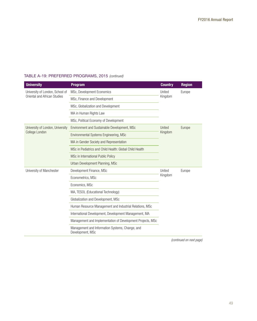| <b>University</b>                                               | <b>Program</b>                                                      | <b>Country</b>    | <b>Region</b> |
|-----------------------------------------------------------------|---------------------------------------------------------------------|-------------------|---------------|
| University of London, School of<br>Oriental and African Studies | MSc, Development Economics                                          | United<br>Kingdom | Europe        |
|                                                                 | MSc, Finance and Development                                        |                   |               |
|                                                                 | MSc, Globalization and Development                                  |                   |               |
|                                                                 | MA in Human Rights Law                                              |                   |               |
|                                                                 | MSc, Political Economy of Development                               |                   |               |
| University of London, University                                | Environment and Sustainable Development, MSc                        | United            | Europe        |
| College London                                                  | Environmental Systems Engineering, MSc                              | Kingdom           |               |
|                                                                 | MA in Gender Society and Representation                             |                   |               |
|                                                                 | MSc in Pediatrics and Child Health: Global Child Health             |                   |               |
|                                                                 | MSc in International Public Policy                                  |                   |               |
|                                                                 | Urban Development Planning, MSc                                     |                   |               |
| University of Manchester                                        | Development Finance, MSc                                            | United            | Europe        |
|                                                                 | Econometrics, MSc                                                   | Kingdom           |               |
|                                                                 | Economics, MSc                                                      |                   |               |
|                                                                 | MA, TESOL (Educational Technology)                                  |                   |               |
|                                                                 | Globalization and Development, MSc                                  |                   |               |
|                                                                 | Human Resource Management and Industrial Relations, MSc             |                   |               |
|                                                                 | International Development, Development Management, MA               |                   |               |
|                                                                 | Management and Implementation of Development Projects, MSc          |                   |               |
|                                                                 | Management and Information Systems, Change, and<br>Development, MSc |                   |               |